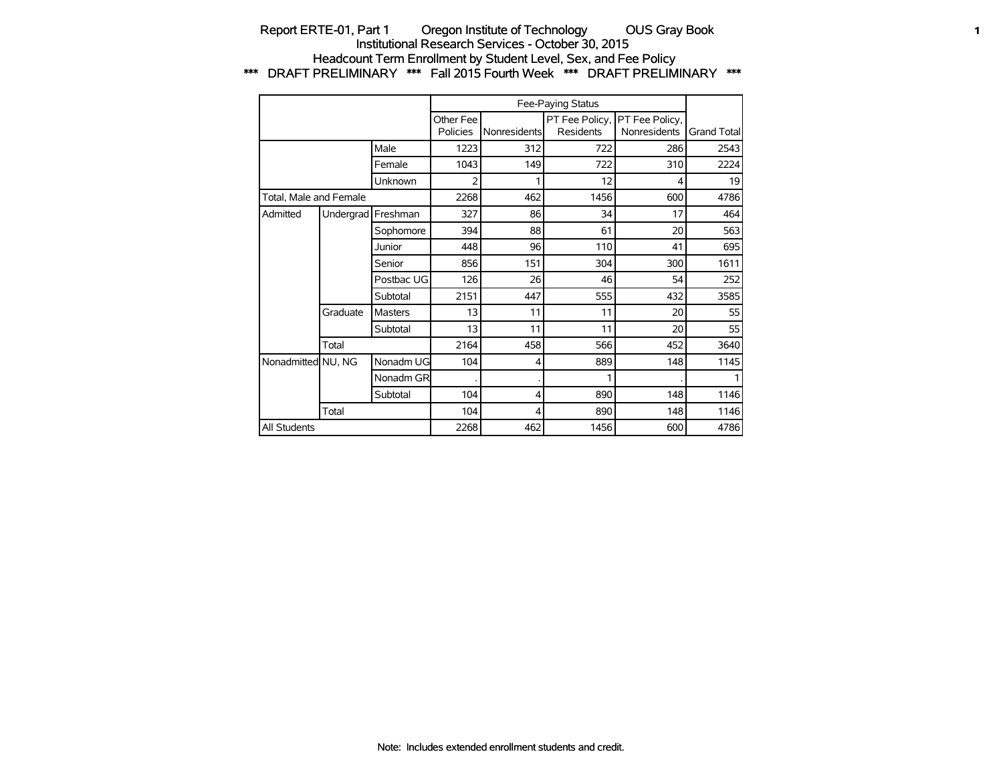### Report ERTE-01, Part 1 Oregon Institute of Technology OUS Gray Book **1** 1 Institutional Research Services - October 30, 2015 Headcount Term Enrollment by Student Level, Sex, and Fee Policy \*\*\* DRAFT PRELIMINARY \*\*\* Fall 2015 Fourth Week \*\*\* DRAFT PRELIMINARY \*\*\*

|                        |           |            |                       |              | Fee-Paying Status                  |                                |                    |
|------------------------|-----------|------------|-----------------------|--------------|------------------------------------|--------------------------------|--------------------|
|                        |           |            | Other Fee<br>Policies | Nonresidents | PT Fee Policy,<br><b>Residents</b> | PT Fee Policy,<br>Nonresidents | <b>Grand Total</b> |
|                        |           | Male       | 1223                  | 312          | 722                                | 286                            | 2543               |
|                        |           | Female     | 1043                  | 149          | 722                                | 310                            | 2224               |
|                        |           | Unknown    | 2                     |              | 12                                 | 4                              | 19                 |
| Total, Male and Female |           |            | 2268                  | 462          | 1456                               | 600                            | 4786               |
| Admitted               | Undergrad | Freshman   | 327                   | 86           | 34                                 | 17                             | 464                |
|                        |           | Sophomore  | 394                   | 88           | 61                                 | 20                             | 563                |
|                        |           | Junior     | 448                   | 96           | 110                                | 41                             | 695                |
|                        |           | Senior     | 856                   | 151          | 304                                | 300                            | 1611               |
|                        |           | Postbac UG | 126                   | 26           | 46                                 | 54                             | 252                |
|                        |           | Subtotal   | 2151                  | 447          | 555                                | 432                            | 3585               |
|                        | Graduate  | Masters    | 13                    | 11           | 11                                 | 20                             | 55                 |
|                        |           | Subtotal   | 13                    | 11           | 11                                 | 20                             | 55                 |
|                        | Total     |            | 2164                  | 458          | 566                                | 452                            | 3640               |
| Nonadmitted NU, NG     |           | Nonadm UG  | 104                   | 4            | 889                                | 148                            | 1145               |
|                        |           | Nonadm GR  |                       |              | 1                                  |                                |                    |
|                        |           | Subtotal   | 104                   | 4            | 890                                | 148                            | 1146               |
|                        | Total     |            | 104                   | 4            | 890                                | 148                            | 1146               |
| All Students           |           |            | 2268                  | 462          | 1456                               | 600                            | 4786               |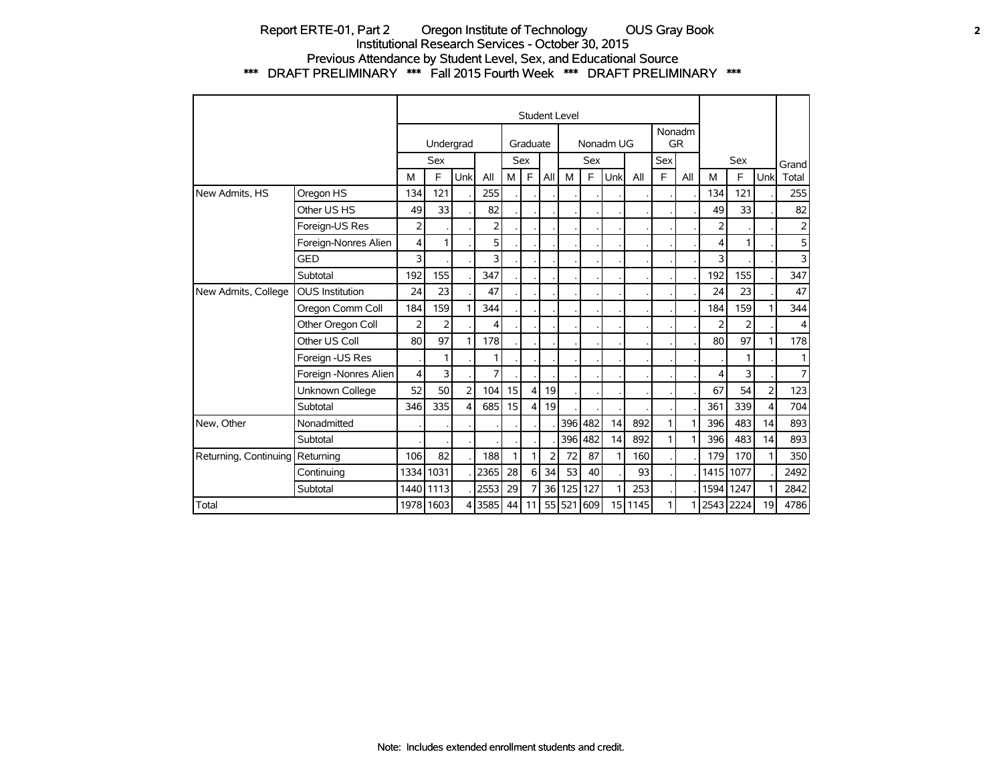### Report ERTE-01, Part 2 Oregon Institute of Technology OUS Gray Book **2** Institutional Research Services - October 30, 2015 Previous Attendance by Student Level, Sex, and Educational Source \*\*\* DRAFT PRELIMINARY \*\*\* Fall 2015 Fourth Week \*\*\* DRAFT PRELIMINARY \*\*\*

|                                 |                        |                |           |                |      |    |          |                | <b>Student Level</b> |         |           |         |     |                     |               |            |                         |       |
|---------------------------------|------------------------|----------------|-----------|----------------|------|----|----------|----------------|----------------------|---------|-----------|---------|-----|---------------------|---------------|------------|-------------------------|-------|
|                                 |                        |                | Undergrad |                |      |    | Graduate |                |                      |         | Nonadm UG |         |     | Nonadm<br><b>GR</b> |               |            |                         |       |
|                                 |                        |                | Sex       |                |      |    | Sex      |                |                      | Sex     |           |         | Sex |                     |               | <b>Sex</b> |                         | Grand |
|                                 |                        | M              | F.        | Unk            | All  | M  | E        | All            | M                    | F       | Unk       | All     | E   | All                 | M             | E          | Unk                     | Total |
| New Admits, HS                  | Oregon HS              | 134            | 121       |                | 255  |    |          |                |                      |         |           |         |     |                     | 134           | 121        |                         | 255   |
|                                 | Other US HS            | 49             | 33        |                | 82   |    |          |                |                      |         |           |         |     |                     | 49            | 33         |                         | 82    |
|                                 | Foreign-US Res         | $\overline{2}$ |           |                | 2    |    |          |                |                      |         |           |         |     |                     | 2             |            |                         | 2     |
|                                 | Foreign-Nonres Alien   | 4              | 1         |                | 5    |    |          |                |                      |         |           |         |     |                     | 4             | 1          |                         | 5     |
|                                 | <b>GED</b>             | 3              |           |                | 3    |    |          |                |                      |         |           |         |     |                     | 3             |            |                         | 3     |
|                                 | Subtotal               | 192            | 155       |                | 347  |    |          |                |                      |         |           |         |     |                     | 192           | 155        |                         | 347   |
| New Admits, College             | <b>OUS Institution</b> | 24             | 23        |                | 47   |    |          |                |                      |         |           |         |     |                     | 24            | 23         |                         | 47    |
|                                 | Oregon Comm Coll       | 184            | 159       | 1              | 344  |    |          |                |                      |         |           |         |     |                     | 184           | 159        |                         | 344   |
|                                 | Other Oregon Coll      | $\overline{2}$ | 2         |                | 4    |    |          |                |                      |         |           |         |     |                     | $\mathcal{P}$ | 2          |                         | 4     |
|                                 | Other US Coll          | 80             | 97        | 1              | 178  |    |          |                |                      |         |           |         |     |                     | 80            | 97         |                         | 178   |
|                                 | Foreign -US Res        |                |           |                | 1    |    |          |                |                      |         |           |         |     |                     |               |            |                         | 1     |
|                                 | Foreign -Nonres Alien  | $\overline{4}$ | 3         |                | 7    |    |          |                |                      |         |           |         |     |                     | 4             | 3          |                         | 7     |
|                                 | Unknown College        | 52             | 50        | $\overline{2}$ | 104  | 15 | 4        | 19             |                      |         |           |         |     |                     | 67            | 54         | $\overline{2}$          | 123   |
|                                 | Subtotal               | 346            | 335       | $\overline{4}$ | 685  | 15 | 4        | 19             |                      |         |           |         |     |                     | 361           | 339        | $\overline{\mathbf{4}}$ | 704   |
| New, Other                      | Nonadmitted            |                |           |                |      |    |          |                |                      | 396 482 | 14        | 892     | 1   | 1                   | 396           | 483        | 14                      | 893   |
|                                 | Subtotal               |                |           |                |      |    |          |                | 396                  | 482     | 14        | 892     | 1   | 1                   | 396           | 483        | 14                      | 893   |
| Returning, Continuing Returning |                        | 106            | 82        |                | 188  | 1  | 1        | $\overline{2}$ | 72                   | 87      | 1         | 160     |     |                     | 179           | 170        | 1                       | 350   |
|                                 | Continuing             | 1334           | 1031      |                | 2365 | 28 | 6        | 34             | 53                   | 40      |           | 93      |     |                     | 1415          | 1077       |                         | 2492  |
|                                 | Subtotal               | 1440           | 1113      |                | 2553 | 29 | 7        | 36             | 125                  | 127     | 1         | 253     |     |                     | 1594          | 1247       |                         | 2842  |
| Total                           |                        |                | 1978 1603 | 4              | 3585 | 44 | 11       |                | 55 521               | 609     |           | 15 1145 |     |                     | 2543 2224     |            | 19                      | 4786  |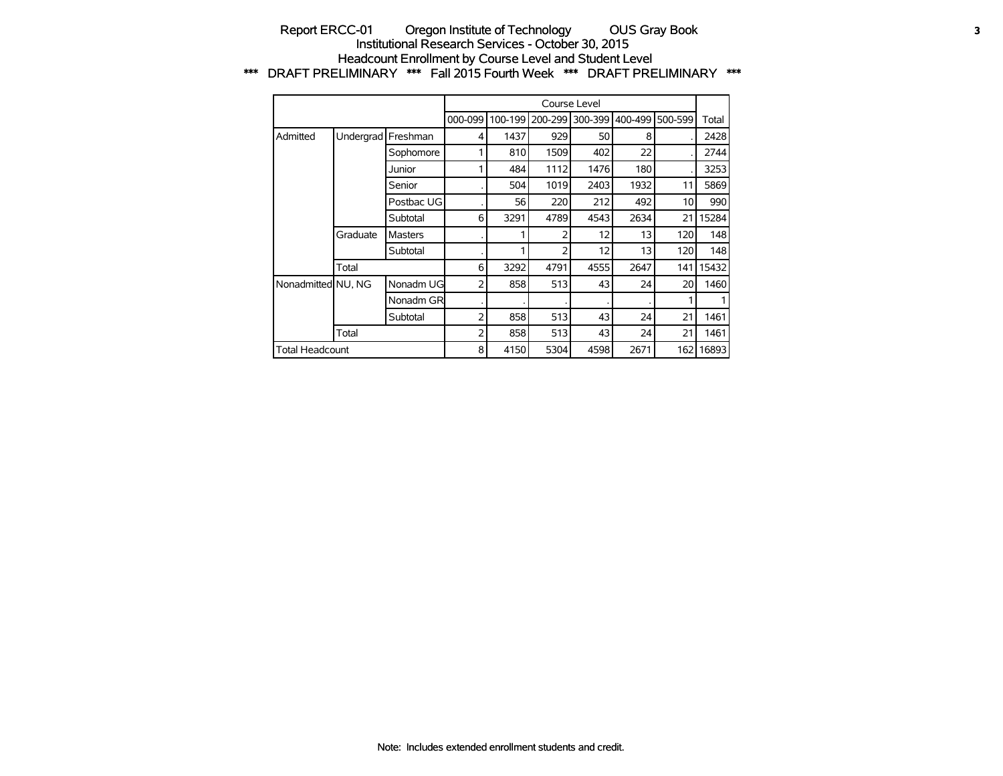#### Report ERCC-01 Oregon Institute of Technology OUS Gray Book **3** Institutional Research Services - October 30, 2015 Headcount Enrollment by Course Level and Student Level \*\*\* DRAFT PRELIMINARY \*\*\* Fall 2015 Fourth Week \*\*\* DRAFT PRELIMINARY \*\*\*

|                        |           |                |         |         |         | Course Level |         |         |       |
|------------------------|-----------|----------------|---------|---------|---------|--------------|---------|---------|-------|
|                        |           |                | 000-099 | 100-199 | 200-299 | 300-399      | 400-499 | 500-599 | Total |
| Admitted               | Undergrad | Freshman       | 4       | 1437    | 929     | 50           | 8       |         | 2428  |
|                        |           | Sophomore      | 1       | 810     | 1509    | 402          | 22      |         | 2744  |
|                        |           | Junior         |         | 484     | 1112    | 1476         | 180     |         | 3253  |
|                        |           | Senior         |         | 504     | 1019    | 2403         | 1932    | 11      | 5869  |
|                        |           | Postbac UG     |         | 56      | 220     | 212          | 492     | 10      | 990   |
|                        |           | Subtotal       | 6       | 3291    | 4789    | 4543         | 2634    | 21      | 15284 |
|                        | Graduate  | <b>Masters</b> |         |         | 2       | 12           | 13      | 120     | 148   |
|                        |           | Subtotal       |         |         | フ       | 12           | 13      | 120     | 148   |
|                        | Total     |                | 6       | 3292    | 4791    | 4555         | 2647    | 141     | 15432 |
| Nonadmitted NU, NG     |           | Nonadm UG      | 2       | 858     | 513     | 43           | 24      | 20      | 1460  |
|                        |           | Nonadm GR      |         |         |         |              |         |         |       |
|                        |           | Subtotal       | 2       | 858     | 513     | 43           | 24      | 21      | 1461  |
|                        | Total     |                | 2       | 858     | 513     | 43           | 24      | 21      | 1461  |
| <b>Total Headcount</b> |           |                | 8       | 4150    | 5304    | 4598         | 2671    | 1621    | 16893 |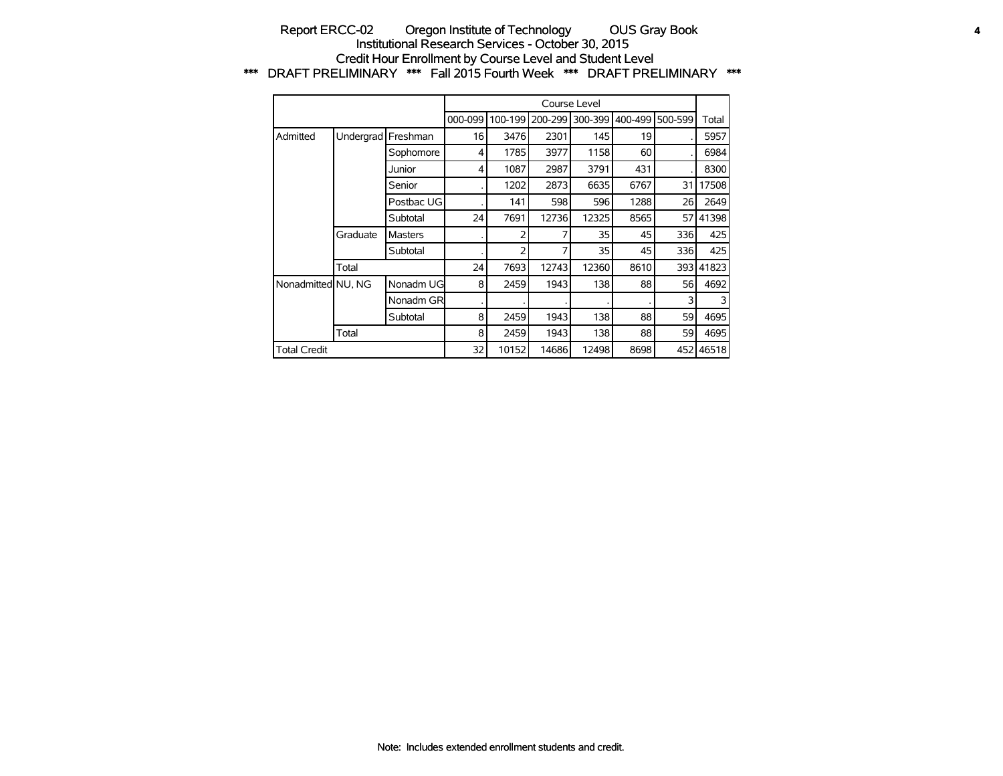### Report ERCC-02 Oregon Institute of Technology OUS Gray Book **4** Institutional Research Services - October 30, 2015 Credit Hour Enrollment by Course Level and Student Level \*\*\* DRAFT PRELIMINARY \*\*\* Fall 2015 Fourth Week \*\*\* DRAFT PRELIMINARY \*\*\*

|                     |           |                |         |         |         | Course Level |         |         |       |
|---------------------|-----------|----------------|---------|---------|---------|--------------|---------|---------|-------|
|                     |           |                | 000-099 | 100-199 | 200-299 | 300-399      | 400-499 | 500-599 | Total |
| Admitted            | Undergrad | Freshman       | 16      | 3476    | 2301    | 145          | 19      |         | 5957  |
|                     |           | Sophomore      | 4       | 1785    | 3977    | 1158         | 60      |         | 6984  |
|                     |           | Junior         | 4       | 1087    | 2987    | 3791         | 431     |         | 8300  |
|                     |           | Senior         |         | 1202    | 2873    | 6635         | 6767    | 31      | 17508 |
|                     |           | Postbac UG     |         | 141     | 598     | 596          | 1288    | 26      | 2649  |
|                     |           | Subtotal       | 24      | 7691    | 12736   | 12325        | 8565    | 57      | 41398 |
|                     | Graduate  | <b>Masters</b> |         |         |         | 35           | 45      | 336     | 425   |
|                     |           | Subtotal       |         | フ       | 7       | 35           | 45      | 336     | 425   |
|                     | Total     |                | 24      | 7693    | 12743   | 12360        | 8610    | 393 l   | 41823 |
| Nonadmitted NU, NG  |           | Nonadm UG      | 8       | 2459    | 1943    | 138          | 88      | 56      | 4692  |
|                     |           | Nonadm GR      |         |         |         |              |         | 3       | 3     |
|                     |           | Subtotal       | 8       | 2459    | 1943    | 138          | 88      | 59      | 4695  |
|                     | Total     |                | 8       | 2459    | 1943    | 138          | 88      | 59      | 4695  |
| <b>Total Credit</b> |           |                | 32      | 10152   | 14686   | 12498        | 8698    | 4521    | 46518 |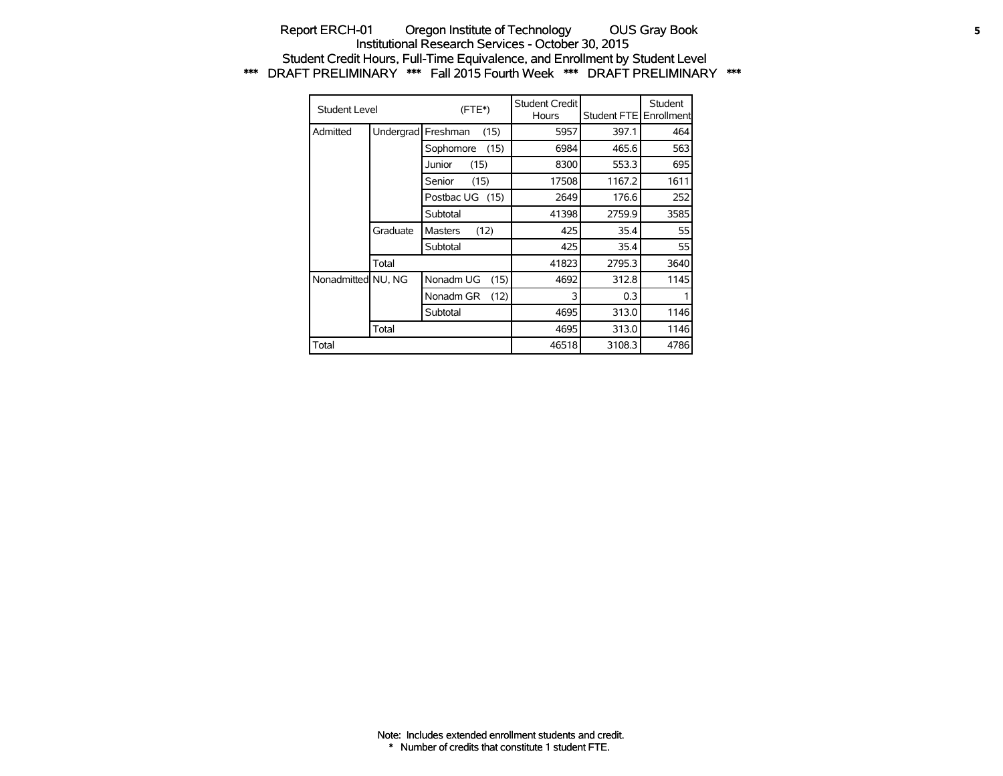### Report ERCH-01 Oregon Institute of Technology OUS Gray Book **5** Institutional Research Services - October 30, 2015 Student Credit Hours, Full-Time Equivalence, and Enrollment by Student Level \*\*\* DRAFT PRELIMINARY \*\*\* Fall 2015 Fourth Week \*\*\* DRAFT PRELIMINARY \*\*\*

| Student Level      |           | (FTE*)                 | <b>Student Credit</b><br>Hours | Student FTE | Student<br><b>Enrollment</b> |
|--------------------|-----------|------------------------|--------------------------------|-------------|------------------------------|
| Admitted           | Undergrad | Freshman<br>(15)       | 5957                           | 397.1       | 464                          |
|                    |           | Sophomore<br>(15)      | 6984                           | 465.6       | 563                          |
|                    |           | Junior<br>(15)         | 8300                           | 553.3       | 695                          |
|                    |           | (15)<br>Senior         | 17508                          | 1167.2      | 1611                         |
|                    |           | Postbac UG (15)        | 2649                           | 176.6       | 252                          |
|                    |           | Subtotal               | 41398                          | 2759.9      | 3585                         |
|                    | Graduate  | (12)<br><b>Masters</b> | 425                            | 35.4        | 55                           |
|                    |           | Subtotal               | 425                            | 35.4        | 55                           |
|                    | Total     |                        | 41823                          | 2795.3      | 3640                         |
| Nonadmitted NU, NG |           | Nonadm UG<br>(15)      | 4692                           | 312.8       | 1145                         |
|                    |           | Nonadm GR<br>(12)      | 3                              | 0.3         |                              |
|                    |           | Subtotal               | 4695                           | 313.0       | 1146                         |
|                    | Total     |                        | 4695                           | 313.0       | 1146                         |
| Total              |           |                        | 46518                          | 3108.3      | 4786                         |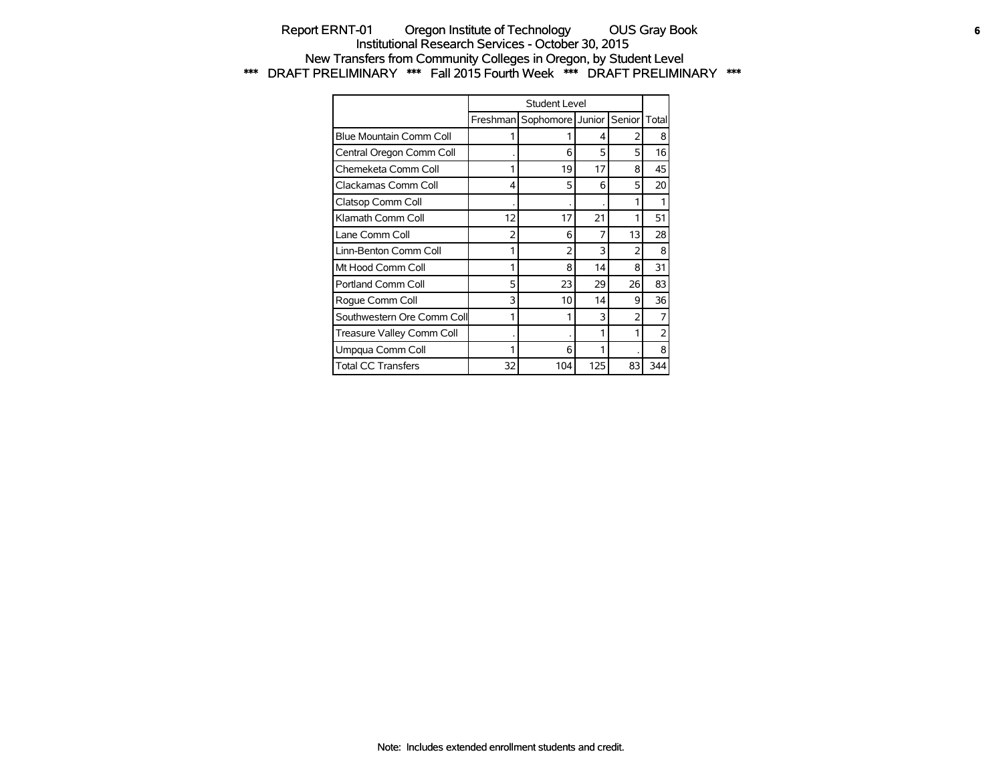## Report ERNT-01 Oregon Institute of Technology OUS Gray Book **6** Institutional Research Services - October 30, 2015 New Transfers from Community Colleges in Oregon, by Student Level \*\*\* DRAFT PRELIMINARY \*\*\* Fall 2015 Fourth Week \*\*\* DRAFT PRELIMINARY \*\*\*

|                            |          | Student Level    |     |        |                |
|----------------------------|----------|------------------|-----|--------|----------------|
|                            | Freshman | Sophomore Junior |     | Senior | Total          |
| Blue Mountain Comm Coll    |          | 1                | 4   |        | 8              |
| Central Oregon Comm Coll   |          | 6                | 5   | 5      | 16             |
| Chemeketa Comm Coll        | 1        | 19               | 17  | 8      | 45             |
| Clackamas Comm Coll        | 4        | 5                | 6   | 5      | 20             |
| Clatsop Comm Coll          |          |                  |     |        |                |
| Klamath Comm Coll          | 12       | 17               | 21  |        | 51             |
| Lane Comm Coll             | 2        | 6                | 7   | 13     | 28             |
| Linn-Benton Comm Coll      | 1        | $\overline{2}$   | 3   | 2      | 8              |
| Mt Hood Comm Coll          | 1        | 8                | 14  | 8      | 31             |
| Portland Comm Coll         | 5        | 23               | 29  | 26     | 83             |
| Roque Comm Coll            | 3        | 10               | 14  | 9      | 36             |
| Southwestern Ore Comm Coll | 1        | 1                | 3   | 2      | 7              |
| Treasure Valley Comm Coll  |          |                  | 1   |        | $\overline{2}$ |
| Umpqua Comm Coll           |          | 6                |     |        | 8              |
| <b>Total CC Transfers</b>  | 32       | 104              | 125 | 83     | 344            |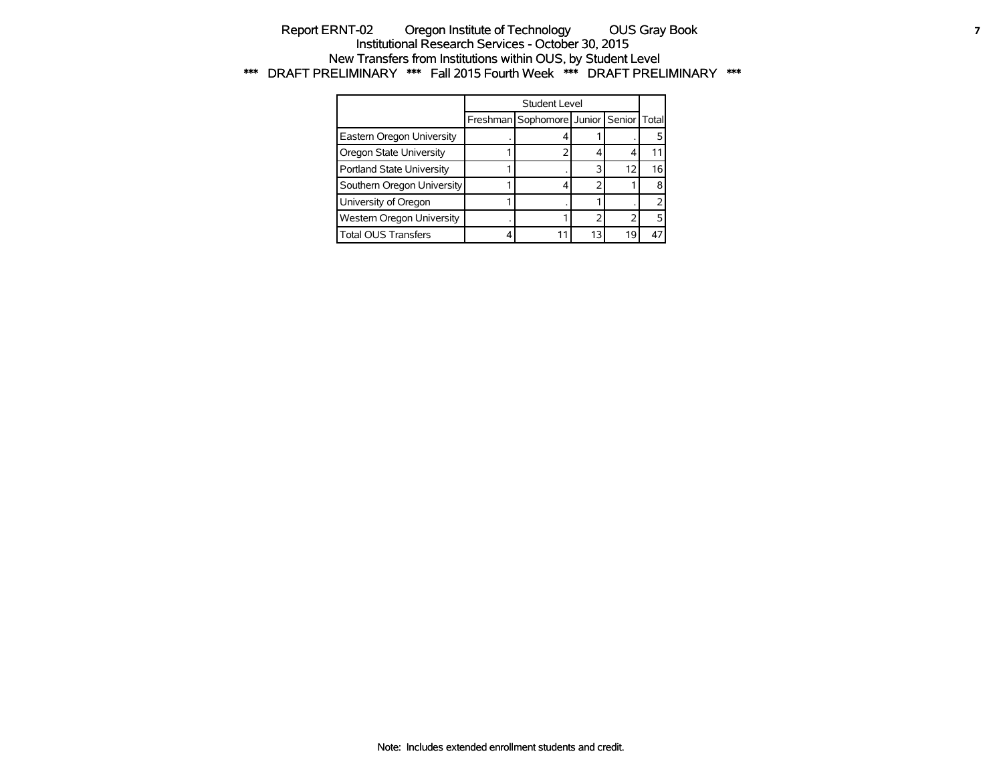### Report ERNT-02 Oregon Institute of Technology OUS Gray Book **7** Institutional Research Services - October 30, 2015 New Transfers from Institutions within OUS, by Student Level \*\*\* DRAFT PRELIMINARY \*\*\* Fall 2015 Fourth Week \*\*\* DRAFT PRELIMINARY \*\*\*

|                            | Student Level                          |    |    |    |
|----------------------------|----------------------------------------|----|----|----|
|                            | Freshman Sophomore Junior Senior Total |    |    |    |
| Eastern Oregon University  |                                        |    |    |    |
| Oregon State University    |                                        |    |    |    |
| Portland State University  |                                        |    | 12 | 16 |
| Southern Oregon University |                                        |    |    |    |
| University of Oregon       |                                        |    |    |    |
| Western Oregon University  |                                        |    |    |    |
| <b>Total OUS Transfers</b> |                                        | 13 | 19 |    |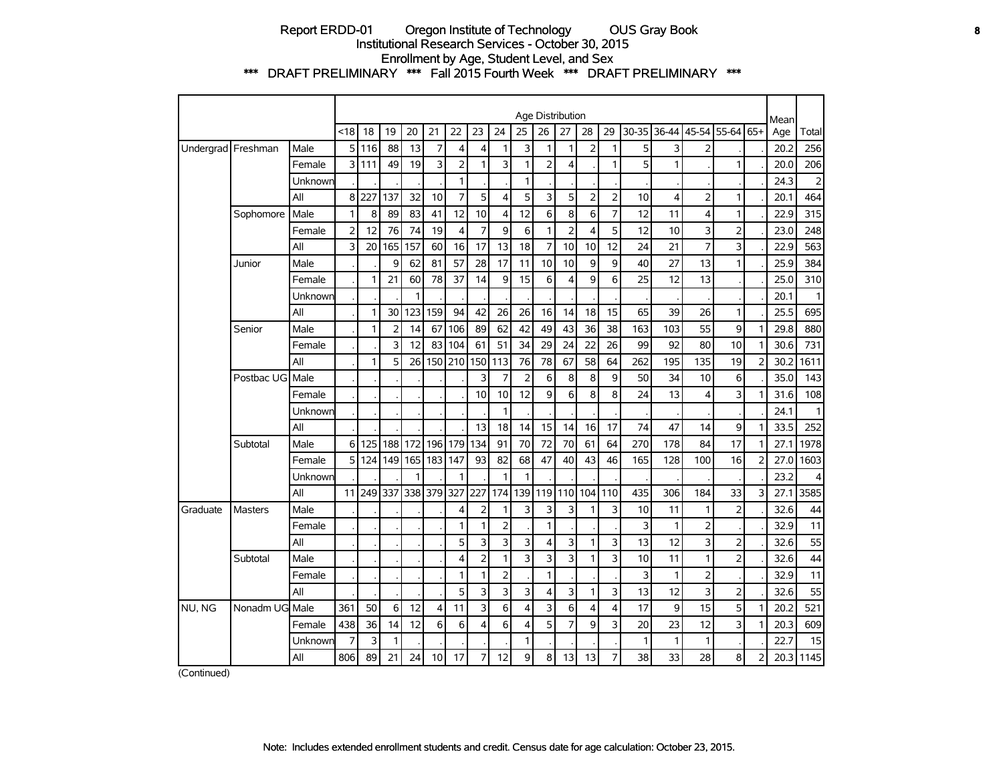### Report ERDD-01 Oregon Institute of Technology OUS Gray Book **8** Institutional Research Services - October 30, 2015 Enrollment by Age, Student Level, and Sex \*\*\* DRAFT PRELIMINARY \*\*\* Fall 2015 Fourth Week \*\*\* DRAFT PRELIMINARY \*\*\*

|          |                    |         |                |     |                |     |     |                         |                |                |                | Age Distribution |                |                         |                |       |              |                |                |                | Mean |                |
|----------|--------------------|---------|----------------|-----|----------------|-----|-----|-------------------------|----------------|----------------|----------------|------------------|----------------|-------------------------|----------------|-------|--------------|----------------|----------------|----------------|------|----------------|
|          |                    |         | <18            | 18  | 19             | 20  | 21  | 22                      | 23             | 24             | 25             | 26               | 27             | 28                      | 29             | 30-35 | 36-44        |                | 45-54 55-64    | 65+            | Age  | Total          |
|          | Undergrad Freshman | Male    | 5              | 116 | 88             | 13  | 7   | 4                       | 4              | 1              | 3              | 1                | 1              | 2                       | $\mathbf{1}$   | 5     | 3            | $\overline{2}$ |                |                | 20.2 | 256            |
|          |                    | Female  | 3              | 111 | 49             | 19  | 3   | 2                       | 1              | 3              | $\mathbf{1}$   | $\overline{2}$   | 4              |                         | $\mathbf{1}$   | 5     | 1            |                | 1              |                | 20.0 | 206            |
|          |                    | Unknown |                |     |                |     |     | $\mathbf{1}$            |                |                | $\mathbf{1}$   |                  |                |                         |                |       |              |                |                |                | 24.3 | $\overline{2}$ |
|          |                    | All     | $\bf8$         | 227 | 137            | 32  | 10  | $\overline{7}$          | 5              | 4              | 5              | 3                | 5              | $\overline{2}$          | $\overline{2}$ | 10    | 4            | $\overline{2}$ | $\mathbf{1}$   |                | 20.1 | 464            |
|          | Sophomore          | Male    | 1              | 8   | 89             | 83  | 41  | 12                      | 10             | $\overline{4}$ | 12             | 6                | 8              | 6                       | $\overline{7}$ | 12    | 11           | $\overline{4}$ | $\mathbf{1}$   |                | 22.9 | 315            |
|          |                    | Female  | $\overline{2}$ | 12  | 76             | 74  | 19  | 4                       | $\overline{7}$ | 9              | 6              | 1                | $\overline{2}$ | $\overline{\mathbf{4}}$ | 5              | 12    | 10           | $\overline{3}$ | $\overline{2}$ |                | 23.0 | 248            |
|          |                    | All     | 3              | 20  | 165            | 157 | 60  | 16                      | 17             | 13             | 18             | $\overline{7}$   | 10             | 10                      | 12             | 24    | 21           | $\overline{7}$ | 3              |                | 22.9 | 563            |
|          | Junior             | Male    |                |     | 9              | 62  | 81  | 57                      | 28             | 17             | 11             | 10               | 10             | 9                       | 9              | 40    | 27           | 13             | 1              |                | 25.9 | 384            |
|          |                    | Female  |                | 1   | 21             | 60  | 78  | 37                      | 14             | 9              | 15             | 6                | $\overline{4}$ | 9                       | 6              | 25    | 12           | 13             |                |                | 25.0 | 310            |
|          |                    | Unknown |                |     |                | 1   |     |                         |                |                |                |                  |                |                         |                |       |              |                |                |                | 20.1 | 1              |
|          |                    | All     |                | 1   | 30             | 123 | 159 | 94                      | 42             | 26             | 26             | 16               | 14             | 18                      | 15             | 65    | 39           | 26             | $\mathbf{1}$   |                | 25.5 | 695            |
|          | Senior             | Male    |                | 1   | $\overline{2}$ | 14  | 67  | 106                     | 89             | 62             | 42             | 49               | 43             | 36                      | 38             | 163   | 103          | 55             | 9              | $\mathbf{1}$   | 29.8 | 880            |
|          |                    | Female  |                |     | 3              | 12  | 83  | 104                     | 61             | 51             | 34             | 29               | 24             | 22                      | 26             | 99    | 92           | 80             | 10             | 1              | 30.6 | 731            |
|          |                    | All     |                | 1   | 5              | 26  | 150 | 210                     | 150            | 113            | 76             | 78               | 67             | 58                      | 64             | 262   | 195          | 135            | 19             | $\overline{2}$ | 30.2 | 1611           |
|          | Postbac UG         | Male    |                |     |                |     |     |                         | 3              | $\overline{7}$ | $\overline{2}$ | 6                | 8              | 8                       | 9              | 50    | 34           | 10             | 6              |                | 35.0 | 143            |
|          |                    | Female  |                |     |                |     |     |                         | 10             | 10             | 12             | 9                | 6              | 8                       | 8              | 24    | 13           | $\overline{4}$ | 3              | 1              | 31.6 | 108            |
|          |                    | Unknown |                |     |                |     |     |                         |                | 1              |                |                  |                |                         |                |       |              |                |                |                | 24.1 |                |
|          |                    | All     |                |     |                |     |     |                         | 13             | 18             | 14             | 15               | 14             | 16                      | 17             | 74    | 47           | 14             | 9              | $\mathbf{1}$   | 33.5 | 252            |
|          | Subtotal           | Male    | 6              | 125 | 188            | 172 | 196 | 179                     | 134            | 91             | 70             | 72               | 70             | 61                      | 64             | 270   | 178          | 84             | 17             | 1              | 27.1 | 1978           |
|          |                    | Female  | 5              | 124 | 149            | 165 | 183 | 147                     | 93             | 82             | 68             | 47               | 40             | 43                      | 46             | 165   | 128          | 100            | 16             | $\overline{2}$ | 27.0 | 1603           |
|          |                    | Unknown |                |     |                | 1   |     | 1                       |                | 1              | 1              |                  |                |                         |                |       |              |                |                |                | 23.2 | 4              |
|          |                    | All     | 11             | 249 | 337            | 338 | 379 | 327                     | 227            | 174            | 139            | 119              | 110            | 104                     | 110            | 435   | 306          | 184            | 33             | 3              | 27.1 | 3585           |
| Graduate | <b>Masters</b>     | Male    |                |     |                |     |     | 4                       | $\overline{2}$ | 1              | 3              | 3                | 3              | 1                       | 3              | 10    | 11           | 1              | $\overline{2}$ |                | 32.6 | 44             |
|          |                    | Female  |                |     |                |     |     | 1                       | 1              | $\overline{2}$ |                | 1                |                |                         |                | 3     | $\mathbf{1}$ | $\overline{2}$ |                |                | 32.9 | 11             |
|          |                    | All     |                |     |                |     |     | 5                       | 3              | 3              | 3              | $\overline{4}$   | 3              | 1                       | 3              | 13    | 12           | 3              | $\overline{2}$ |                | 32.6 | 55             |
|          | Subtotal           | Male    |                |     |                |     |     | $\overline{\mathbf{4}}$ | $\overline{2}$ | 1              | 3              | 3                | 3              | 1                       | 3              | 10    | 11           | $\mathbf{1}$   | $\overline{2}$ |                | 32.6 | 44             |
|          |                    | Female  |                |     |                |     |     | $\mathbf{1}$            | 1              | $\overline{2}$ |                | 1                |                |                         |                | 3     | $\mathbf{1}$ | $\overline{2}$ |                |                | 32.9 | 11             |
|          |                    | All     |                |     |                |     |     | 5                       | 3              | 3              | 3              | $\overline{4}$   | 3              | 1                       | 3              | 13    | 12           | $\overline{3}$ | $\overline{2}$ |                | 32.6 | 55             |
| NU, NG   | Nonadm UG Male     |         | 361            | 50  | 6              | 12  | 4   | 11                      | 3              | 6              | $\overline{4}$ | 3                | 6              | 4                       | $\overline{4}$ | 17    | 9            | 15             | 5              | 1              | 20.2 | 521            |
|          |                    | Female  | 438            | 36  | 14             | 12  | 6   | 6                       | 4              | 6              | $\overline{4}$ | 5                | $\overline{7}$ | 9                       | 3              | 20    | 23           | 12             | 3              | 1              | 20.3 | 609            |
|          |                    | Unknown | 7              | 3   | 1              |     |     |                         |                |                | 1              |                  |                |                         |                | 1     | $\mathbf{1}$ | 1              |                |                | 22.7 | 15             |
|          |                    | All     | 806            | 89  | 21             | 24  | 10  | 17                      | $\overline{7}$ | 12             | 9              | 8                | 13             | 13                      | $\overline{7}$ | 38    | 33           | 28             | 8              | $\overline{2}$ | 20.3 | 1145           |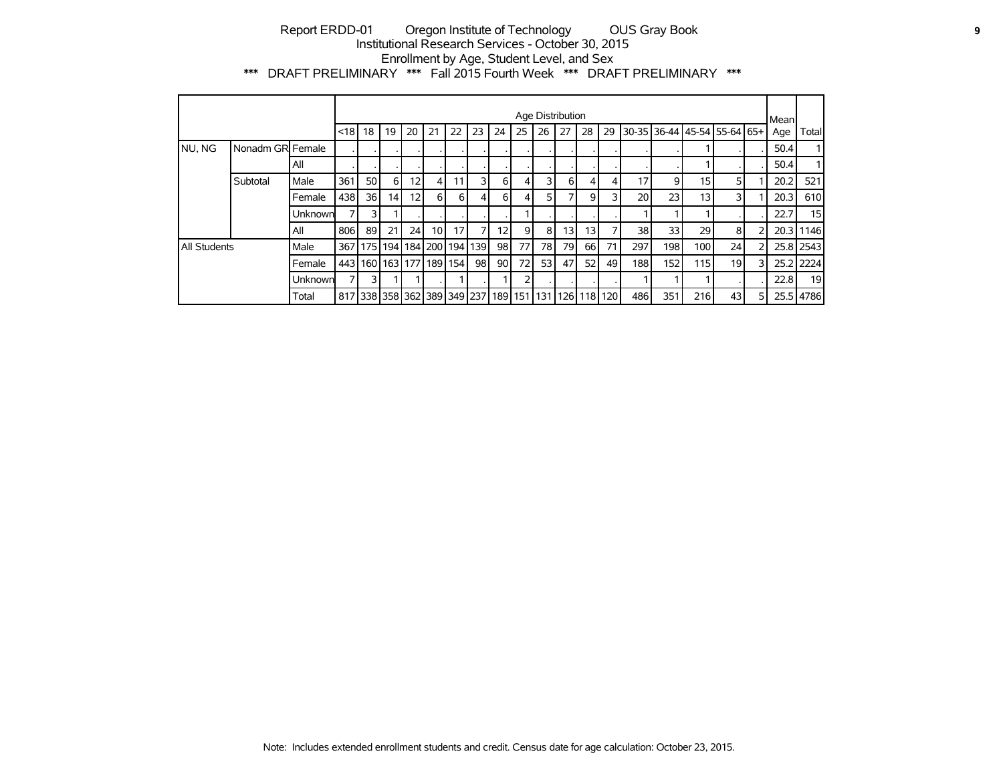## Report ERDD-01 Oregon Institute of Technology OUS Gray Book **9** Institutional Research Services - October 30, 2015 Enrollment by Age, Student Level, and Sex \*\*\* DRAFT PRELIMINARY \*\*\* Fall 2015 Fourth Week \*\*\* DRAFT PRELIMINARY \*\*\*

|                     |                   |         |         |                                                     |    |                 |          |                 |         |                 |                | Age Distribution |    |      |    |     |      |                                     |                 |   | Mean |                 |
|---------------------|-------------------|---------|---------|-----------------------------------------------------|----|-----------------|----------|-----------------|---------|-----------------|----------------|------------------|----|------|----|-----|------|-------------------------------------|-----------------|---|------|-----------------|
|                     |                   |         | $ $ <18 | 18                                                  | 19 | 20              | 21       | 22              | 23      | 24              | 25             | 26               | 27 | 28   | 29 |     |      | 30-35   36-44   45-54   55-64   65+ |                 |   | Age  | Total           |
| NU, NG              | Nonadm GRI Female |         |         |                                                     |    |                 |          |                 |         |                 |                |                  |    |      |    |     |      |                                     |                 |   | 50.4 |                 |
|                     |                   | All     |         |                                                     |    |                 |          |                 |         |                 |                |                  |    |      |    |     |      |                                     |                 |   | 50.4 |                 |
|                     | Subtotal          | Male    | 361     | <b>50</b>                                           | 6  | 12 <sub>1</sub> | 4        | 11              | 3       | 6               | 4              | 31               | 6  | 4    | 4  | 17  | 9    | 15 <sup>1</sup>                     |                 |   | 20.2 | 521             |
|                     |                   | Female  | 438     | 36 I                                                | 14 | 12 <sub>1</sub> | $6 \mid$ | 6               | 4       | $6 \mid$        | 4              | 51               |    | 9    | 3  | 20  | 23   | 13 <sup>1</sup>                     |                 |   | 20.3 | 610             |
|                     |                   | Unknown |         | 31                                                  |    |                 |          |                 |         |                 |                |                  |    |      |    |     |      |                                     |                 |   | 22.7 | 15 <sub>l</sub> |
|                     |                   | All     | 806     | 89                                                  | 21 | 24              | 10       | 17 <sup>1</sup> |         | 12 <sub>1</sub> | $\overline{9}$ | 81               | 13 | 13   | 7  | 38  | 33   | 29                                  | 81              |   |      | 20.3 1146       |
| <b>All Students</b> |                   | Male    | 367 I   |                                                     |    | 175 194 184 200 |          |                 | 194 139 | 98              | 77             | 78 I             | 79 | 66 I | 71 | 297 | 1981 | 100                                 | 24              |   |      | 25.8 2543       |
|                     |                   | Female  | 4431    |                                                     |    | 160 163 177 189 |          | 154             | 98      | 90              | 72             | 53               | 47 | 52   | 49 | 188 | 152  | 115                                 | 19 <sub>l</sub> |   |      | 25.2 2224       |
|                     |                   | Unknown |         | 31                                                  |    |                 |          |                 |         |                 | 2              |                  |    |      |    |     |      |                                     |                 |   | 22.8 | 19 <sup>1</sup> |
|                     |                   | Total   |         | 817 338 358 362 389 349 237 189 151 131 126 118 120 |    |                 |          |                 |         |                 |                |                  |    |      |    | 486 | 351  | 216                                 | 43 l            | 5 |      | 25.5 4786       |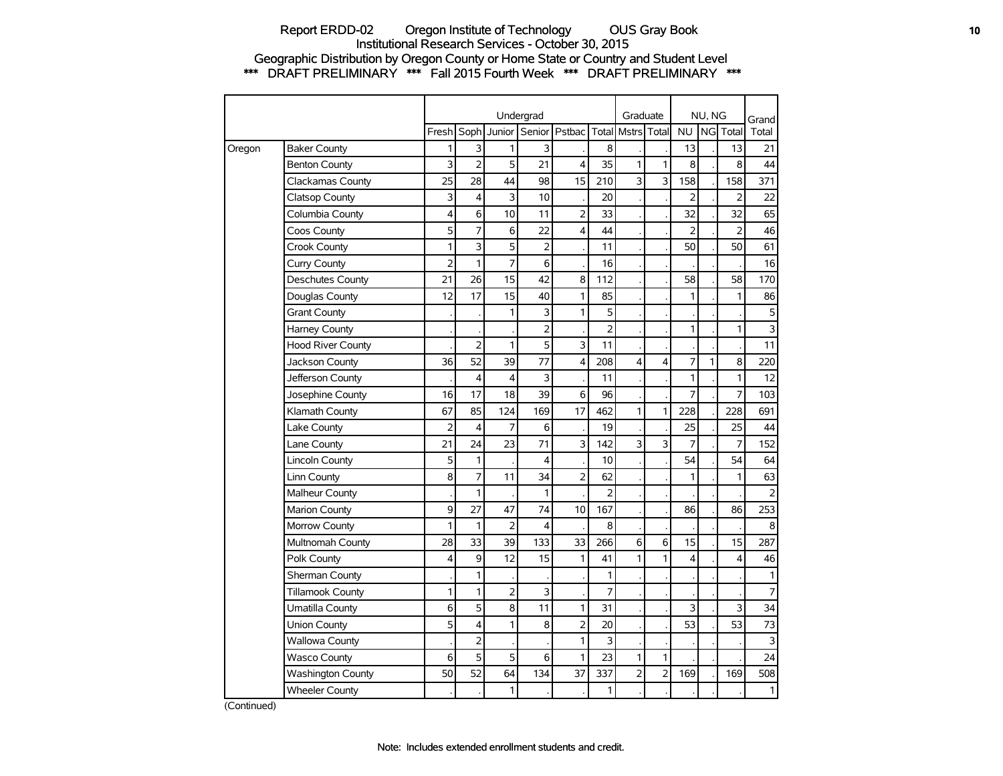### Report ERDD-02 Oregon Institute of Technology OUS Gray Book **10** Institutional Research Services - October 30, 2015 Geographic Distribution by Oregon County or Home State or Country and Student Level \*\*\* DRAFT PRELIMINARY \*\*\* Fall 2015 Fourth Week \*\*\* DRAFT PRELIMINARY \*\*\*

|        |                          |                |                |        | Undergrad      |                         |                | Graduate       |                |                | NU, NG |                         | Grand                   |
|--------|--------------------------|----------------|----------------|--------|----------------|-------------------------|----------------|----------------|----------------|----------------|--------|-------------------------|-------------------------|
|        |                          | Fresh Soph     |                | Junior |                | Senior   Pstbac   Total |                | Mstrs Total    |                | <b>NU</b>      |        | NG Total                | Total                   |
| Oregon | <b>Baker County</b>      | 1              | 3              | 1      | 3              |                         | 8              |                |                | 13             |        | 13                      | 21                      |
|        | <b>Benton County</b>     | 3              | $\overline{2}$ | 5      | 21             | $\overline{\mathbf{4}}$ | 35             | $\mathbf{1}$   | 1              | 8              |        | 8                       | 44                      |
|        | Clackamas County         | 25             | 28             | 44     | 98             | 15                      | 210            | 3              | 3              | 158            |        | 158                     | 371                     |
|        | <b>Clatsop County</b>    | 3              | 4              | 3      | 10             |                         | 20             |                |                | $\overline{2}$ |        | $\overline{2}$          | 22                      |
|        | Columbia County          | 4              | 6              | 10     | 11             | $\overline{2}$          | 33             |                |                | 32             |        | 32                      | 65                      |
|        | Coos County              | 5              | 7              | 6      | 22             | 4                       | 44             |                |                | 2              |        | 2                       | 46                      |
|        | Crook County             | 1              | 3              | 5      | $\overline{2}$ |                         | 11             |                |                | 50             |        | 50                      | 61                      |
|        | Curry County             | $\overline{2}$ | 1              | 7      | 6              |                         | 16             |                |                |                |        |                         | 16                      |
|        | <b>Deschutes County</b>  | 21             | 26             | 15     | 42             | 8                       | 112            |                |                | 58             |        | 58                      | 170                     |
|        | Douglas County           | 12             | 17             | 15     | 40             | 1                       | 85             |                |                | 1              |        | $\mathbf{1}$            | 86                      |
|        | <b>Grant County</b>      |                |                | 1      | 3              | $\mathbf{1}$            | 5              |                |                |                |        |                         | 5                       |
|        | Harney County            |                |                |        | $\overline{2}$ |                         | $\overline{2}$ |                |                | 1              |        | $\mathbf{1}$            | $\overline{\mathbf{3}}$ |
|        | <b>Hood River County</b> |                | $\overline{2}$ | 1      | 5              | 3                       | 11             |                |                |                |        |                         | 11                      |
|        | Jackson County           | 36             | 52             | 39     | 77             | 4                       | 208            | 4              | 4              | 7              | 1      | 8                       | 220                     |
|        | Jefferson County         |                | 4              | 4      | 3              |                         | 11             |                |                | 1              |        | 1                       | 12                      |
|        | Josephine County         | 16             | 17             | 18     | 39             | 6                       | 96             |                |                | 7              |        | 7                       | 103                     |
|        | Klamath County           | 67             | 85             | 124    | 169            | 17                      | 462            | 1              | $\mathbf{1}$   | 228            |        | 228                     | 691                     |
|        | Lake County              | $\overline{2}$ | $\overline{4}$ | 7      | 6              |                         | 19             |                |                | 25             |        | 25                      | 44                      |
|        | Lane County              | 21             | 24             | 23     | 71             | 3                       | 142            | 3              | 3              | 7              |        | $\overline{7}$          | 152                     |
|        | <b>Lincoln County</b>    | 5              | 1              |        | $\overline{4}$ |                         | 10             |                |                | 54             |        | 54                      | 64                      |
|        | Linn County              | 8              | 7              | 11     | 34             | $\overline{2}$          | 62             |                |                | 1              |        | $\mathbf{1}$            | 63                      |
|        | Malheur County           |                | 1              |        | 1              |                         | $\overline{2}$ |                |                |                |        |                         | $\overline{2}$          |
|        | <b>Marion County</b>     | 9              | 27             | 47     | 74             | 10                      | 167            |                |                | 86             |        | 86                      | 253                     |
|        | Morrow County            | 1              | 1              | 2      | 4              |                         | 8              |                |                |                |        |                         | $\,8\,$                 |
|        | Multnomah County         | 28             | 33             | 39     | 133            | 33                      | 266            | 6              | 6              | 15             |        | 15                      | 287                     |
|        | Polk County              | 4              | 9              | 12     | 15             | 1                       | 41             | 1              | 1              | 4              |        | $\overline{\mathbf{4}}$ | 46                      |
|        | Sherman County           |                | 1              |        |                |                         | 1              |                |                |                |        |                         | $\mathbf{1}$            |
|        | <b>Tillamook County</b>  | 1              | 1              | 2      | 3              |                         | 7              |                |                |                |        |                         | $\overline{7}$          |
|        | Umatilla County          | 6              | 5              | 8      | 11             | $\mathbf{1}$            | 31             |                |                | 3              |        | 3                       | 34                      |
|        | Union County             | 5              | 4              | 1      | 8              | $\overline{2}$          | 20             |                |                | 53             |        | 53                      | 73                      |
|        | <b>Wallowa County</b>    |                | $\overline{2}$ |        |                | $\mathbf{1}$            | 3              |                |                |                |        |                         | $\mathbf{3}$            |
|        | <b>Wasco County</b>      | 6              | 5              | 5      | 6              | $\mathbf{1}$            | 23             | 1              | 1              |                |        |                         | 24                      |
|        | Washington County        | 50             | 52             | 64     | 134            | 37                      | 337            | $\overline{2}$ | $\overline{2}$ | 169            |        | 169                     | 508                     |
|        | <b>Wheeler County</b>    |                |                | 1      |                |                         | 1              |                |                |                |        |                         | 1                       |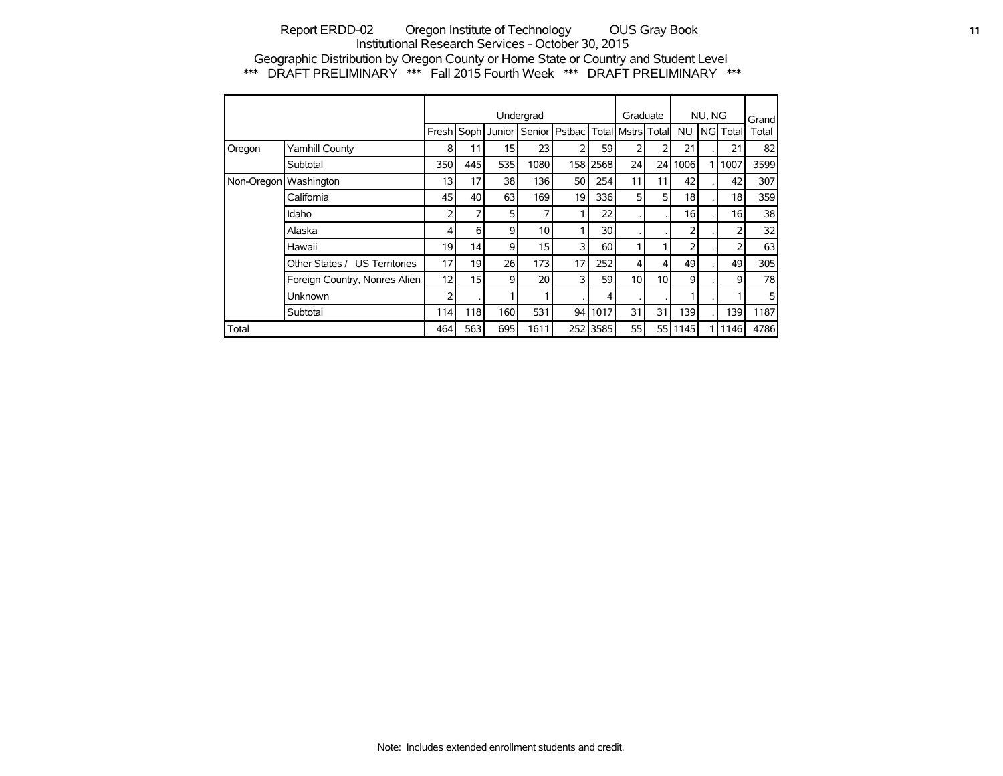### Report ERDD-02 Oregon Institute of Technology OUS Gray Book **11 11** Institutional Research Services - October 30, 2015 Geographic Distribution by Oregon County or Home State or Country and Student Level \*\*\* DRAFT PRELIMINARY \*\*\* Fall 2015 Fourth Week \*\*\* DRAFT PRELIMINARY \*\*\*

|                       |                               |     |                 |                   | Undergrad       |                 |                 | Graduate              |                |           | NU, NG |             | Grand |
|-----------------------|-------------------------------|-----|-----------------|-------------------|-----------------|-----------------|-----------------|-----------------------|----------------|-----------|--------|-------------|-------|
|                       |                               |     |                 | Fresh Soph Junior |                 | Senior   Pstbac |                 | Total   Mstrs   Total |                | <b>NU</b> |        | l NGI Total | Total |
| Oregon                | Yamhill County                | 8   | 11              | 15                | 23              | フ               | 59              | 2                     | 2              | 21        |        | 21          | 82    |
|                       | Subtotal                      | 350 | 445             | 535               | 1080            |                 | 158 2568        | 24                    | 24 I           | 1006      |        | 1007        | 3599  |
| Non-Oregon Washington |                               | 13  | 17              | 38                | 136             | 50              | 254             | 11                    | 11             | 42        |        | 42          | 307   |
|                       | California                    | 45  | 40              | 63                | 169             | 19              | 336             | 5                     | 5 <sup>1</sup> | 18        |        | 18          | 359   |
|                       | Idaho                         | 2   | 7               | 5                 | 7               |                 | 22              |                       |                | 16        |        | 16          | 38    |
|                       | Alaska                        | 4   | 6               | 9                 | 10 <sup>1</sup> |                 | 30 <sup>1</sup> |                       |                | 2         |        | 2           | 32    |
|                       | Hawaii                        | 19  | 14              | 9                 | 15 <sup>1</sup> | 3               | 60              | 1                     |                | 2         |        | 2           | 63    |
|                       | Other States / US Territories | 17  | 19              | 26                | 173             | 17              | 252             | 4                     | $\vert$        | 49        |        | 49          | 305   |
|                       | Foreign Country, Nonres Alien | 12  | 15 <sup>1</sup> | 9                 | 20 <sup>1</sup> | 3               | 59              | 10 <sup>1</sup>       | 10             | 9         |        | 9           | 78    |
|                       | Unknown                       | 2   |                 |                   | ◀               |                 | 4               |                       |                |           |        |             | 5     |
|                       | Subtotal                      | 114 | 118             | 160               | 531             | 94              | 1017            | 31                    | 31             | 139       |        | 139         | 1187  |
| Total                 |                               | 464 | 563             | 695               | 1611            | 252             | 3585            | 55                    | 55 I           | 1145      |        | 1146        | 4786  |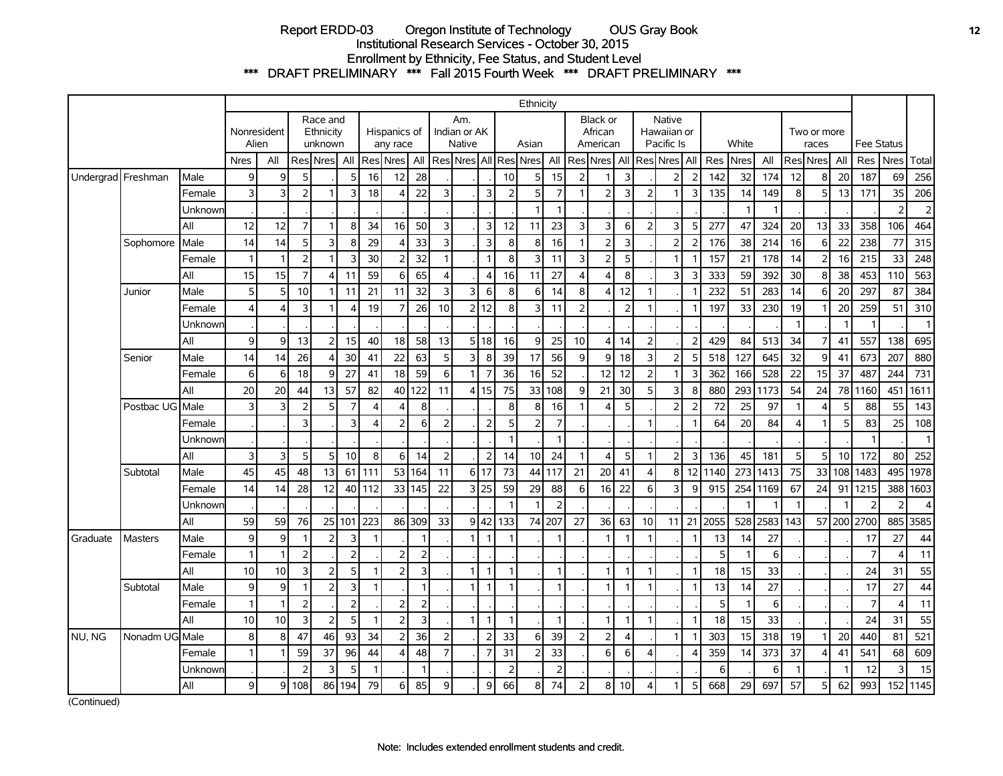# Report ERDD-03 Oregon Institute of Technology OUS Gray Book **12** Institutional Research Services - October 30, 2015 Enrollment by Ethnicity, Fee Status, and Student Level \*\*\* DRAFT PRELIMINARY \*\*\* Fall 2015 Fourth Week \*\*\* DRAFT PRELIMINARY \*\*\*

|                      |                 |         |                 |                |                |                                  |                |                |                          |                |                |                                      |                |                | Ethnicity             |                |                         |                                 |                |                |                                     |                |      |              |      |                |                      |                |                   |                |                |
|----------------------|-----------------|---------|-----------------|----------------|----------------|----------------------------------|----------------|----------------|--------------------------|----------------|----------------|--------------------------------------|----------------|----------------|-----------------------|----------------|-------------------------|---------------------------------|----------------|----------------|-------------------------------------|----------------|------|--------------|------|----------------|----------------------|----------------|-------------------|----------------|----------------|
|                      |                 |         | Alien           | Nonresident    |                | Race and<br>Ethnicity<br>unknown |                |                | Hispanics of<br>any race |                |                | Am.<br>Indian or AK<br><b>Native</b> |                |                | Asian                 |                |                         | Black or<br>African<br>American |                |                | Native<br>Hawaiian or<br>Pacific Is |                |      | White        |      |                | Two or more<br>races |                | <b>Fee Status</b> |                |                |
|                      |                 |         | <b>Nres</b>     | All            |                | Res Nres All                     |                |                | Res Nres                 | All            |                |                                      |                |                | Res Nres All Res Nres |                |                         | All   Res   Nres   All          |                |                | l Res <b>l</b> Nres   All           |                |      | Res Nres     | All  |                | Res Nres             | All            | Res Nres          |                | Total          |
| Undergrad   Freshman |                 | Male    | $\overline{9}$  | 9              | 5              |                                  | 5              | 16             | 12                       | 28             |                |                                      |                | 10             | 5                     | 15             | 2                       |                                 | 3              |                | $\overline{2}$                      | $\overline{2}$ | 142  | 32           | 174  | 12             | 8                    | 20             | 187               | 69             | 256            |
|                      |                 | Female  | $\overline{3}$  | 3              | $\overline{2}$ |                                  | 3              | 18             | 4                        | 22             | 3              |                                      | $\overline{3}$ | $\overline{2}$ | 5                     | $\overline{7}$ | 1                       | $\overline{2}$                  | $\overline{3}$ | $\overline{2}$ |                                     | 3              | 135  | 14           | 149  | 8 <sup>1</sup> | 5                    | 13             | 171               | 35             | 206            |
|                      |                 | Unknowr |                 |                |                |                                  |                |                |                          |                |                |                                      |                |                | $\mathbf{1}$          | $\mathbf{1}$   |                         |                                 |                |                |                                     |                |      | $\mathbf{1}$ |      |                |                      |                |                   | $\overline{2}$ | $\overline{c}$ |
|                      |                 | All     | 12              | 12             | $\overline{7}$ |                                  | 8              | 34             | 16                       | 50             | 3              |                                      | 3              | 12             | 11                    | 23             | 3                       | 3                               | 6              | $\overline{2}$ | 3                                   | 5              | 277  | 47           | 324  | 20             | 13                   | 33             | 358               | 106            | 464            |
|                      | Sophomore       | Male    | 14              | 14             | 5              | 3                                | 8              | 29             |                          | 33             | 3              |                                      | $\overline{3}$ | 8              | 8                     | 16             | $\overline{1}$          | $\overline{2}$                  | 3              |                | 2 <sup>1</sup>                      | 2              | 176  | 38           | 214  | 16             | $6 \mid$             | 22             | 238               | 77             | 315            |
|                      |                 | Female  | $\mathbf{1}$    | $\mathbf{1}$   | $\overline{2}$ | $\overline{1}$                   | $\overline{3}$ | 30             | フ                        | 32             | $\mathbf{1}$   |                                      | $\overline{1}$ | 8              | 3                     | 11             | 3                       | $\overline{2}$                  | 5              |                | $\mathbf{1}$                        | -1             | 157  | 21           | 178  | 14             | $\overline{2}$       | 16             | 215               | 33             | 248            |
|                      |                 | All     | 15              | 15             | $\overline{7}$ | 4                                | 11             | 59             | 6                        | 65             | $\overline{4}$ |                                      | $\overline{4}$ | 16             | 11                    | 27             | $\overline{\mathbf{A}}$ | $\overline{\mathbf{4}}$         | 8              |                | $\overline{3}$                      | 3              | 333  | 59           | 392  | 30             | 8                    | 38             | 453               | 110            | 563            |
|                      | Junior          | Male    | 5 <sup>1</sup>  | 5              | 10             | -1                               | 11             | 21             | 11                       | 32             | 3              | $\overline{3}$                       | 6              | 8              | $6 \mid$              | 14             | 8                       | $\overline{\mathbf{4}}$         | 12             | $\mathbf{1}$   |                                     |                | 232  | 51           | 283  | 14             | 6                    | 20             | 297               | 87             | 384            |
|                      |                 | Female  | $\Delta$        | $\overline{4}$ | 3              |                                  |                | 19             | 7                        | 26             | 10             | $\overline{2}$                       | 12             | 8              | 3                     | 11             | $\overline{2}$          |                                 | $\overline{2}$ | -1             |                                     | -1             | 197  | 33           | 230  | 19             |                      | 20             | 259               | 51             | 310            |
|                      |                 | Unknowr |                 |                |                |                                  |                |                |                          |                |                |                                      |                |                |                       |                |                         |                                 |                |                |                                     |                |      |              |      |                |                      | $\overline{1}$ |                   |                | $\overline{1}$ |
|                      |                 | All     | $\mathsf{g}$    | 9              | 13             | 2                                | 15             | 40             | 18                       | 58             | 13             |                                      | 5 18           | 16             | $\mathsf{g}$          | 25             | 10                      | 4                               | 14             | $\mathbf 2$    |                                     | $\overline{2}$ | 429  | 84           | 513  | 34             | $\overline{7}$       | 41             | 557               | 138            | 695            |
|                      | Senior          | Male    | 14              | 14             | 26             | $\boldsymbol{\Delta}$            | 30             | 41             | 22                       | 63             | 5              | $\overline{\mathbf{3}}$              | 8              | 39             | 17                    | 56             | $\mathbf{9}$            | 9                               | 18             | $\overline{3}$ | 2 <sup>1</sup>                      | 5              | 518  | 127          | 645  | 32             | $\mathsf{g}$         | 41             | 673               | 207            | 880            |
|                      |                 | Female  | 6 <sup>1</sup>  | 6              | 18             | 9                                | 27             | 41             | 18                       | 59             | 6              |                                      | $\overline{7}$ | 36             | 16                    | 52             |                         | 12                              | 12             | $\overline{2}$ | $\mathbf{1}$                        | 3              | 362  | 166          | 528  | 22             | 15                   | 37             | 487               | 244            | 731            |
|                      |                 | All     | 20              | 20             | 44             | 13                               | 57             | 82             | 40                       | 122            | 11             |                                      | 4 15           | 75             | 33                    | 108            | $\overline{9}$          | 21                              | 30             | 5              | $\overline{3}$                      | 8              | 880  | 293          | 1173 | 54             | 24                   | 78             | 1160              | 451            | 1611           |
|                      | Postbac UG Male |         | $\overline{3}$  | 3              | 2              | 5                                | 7              | $\overline{4}$ | Δ                        | 8              |                |                                      |                | 8              | 8                     | 16             |                         | 4                               | 5              |                | 2                                   | $\overline{2}$ | 72   | 25           | 97   |                | 4                    | 5              | 88                | 55             | 143            |
|                      |                 | Female  |                 |                | 3              |                                  | 3              | $\Delta$       | $\overline{2}$           | 6              | $\overline{2}$ |                                      | $\overline{2}$ | 5              | $\overline{2}$        | $\overline{7}$ |                         |                                 |                | $\mathbf{1}$   |                                     | $\mathbf{1}$   | 64   | 20           | 84   | $\vert$        | $\mathbf{1}$         | 5 <sup>1</sup> | 83                | 25             | 108            |
|                      |                 | Unknowr |                 |                |                |                                  |                |                |                          |                |                |                                      |                | $\overline{1}$ |                       | $\mathbf{1}$   |                         |                                 |                |                |                                     |                |      |              |      |                |                      |                | $\mathbf{1}$      |                | $\mathbf{1}$   |
|                      |                 | All     | $\overline{3}$  | 3              | 5              | 5                                | 10             | 8              | 6                        | 14             | $\overline{2}$ |                                      | $\overline{2}$ | 14             | 10                    | 24             | -1                      | 4                               | 5              | $\mathbf{1}$   | 2                                   | 3              | 136  | 45           | 181  | 5 <sup>1</sup> | 5                    | 10             | 172               | 80             | 252            |
|                      | Subtotal        | Male    | 45              | 45             | 48             | 13                               | 61             | 111            | 53                       | 164            | 11             | 6 <sup>1</sup>                       | 17             | 73             | 44                    | 117            | 21                      | 20                              | 41             | $\overline{4}$ | 8                                   | 12             | 1140 | 273          | 1413 | 75             | 33                   | 108            | 1483              | 495            | 1978           |
|                      |                 | Female  | 14              | 14             | 28             | 12                               | 40             | 112            |                          | 33 145         | 22             | $\overline{3}$                       | 25             | 59             | 29                    | 88             | 6                       | 16                              | 22             | 6              | 3                                   | 9              | 915  | 254          | 1169 | 67             | 24                   | 91             | 1215              | 388            | 1603           |
|                      |                 | Unknowr |                 |                |                |                                  |                |                |                          |                |                |                                      |                | -1             | $\mathbf{1}$          | 2              |                         |                                 |                |                |                                     |                |      | 1            |      |                |                      | 1              | 2                 | $\overline{2}$ | $\overline{4}$ |
|                      |                 | All     | 59              | 59             | 76             | 25                               | 101            | 223            |                          | 86 309         | 33             | $\overline{9}$                       | 42             | 133            | 74                    | 207            | 27                      | 36                              | 63             | 10             | 11                                  | 21             | 2055 | 528          | 2583 | 143            |                      |                | 57 200 2700       | 885            | 3585           |
| Graduate             | <b>Masters</b>  | Male    | $\mathsf{g}$    | 9              | $\mathbf{1}$   | $\overline{2}$                   | 3              | $\mathbf{1}$   |                          |                |                |                                      | $\overline{1}$ | $\overline{1}$ |                       | $\mathbf{1}$   |                         | 1                               | -1             | -1             |                                     | $\mathbf{1}$   | 13   | 14           | 27   |                |                      |                | 17                | 27             | 44             |
|                      |                 | Female  | 1               | $\mathbf{1}$   | $\overline{2}$ |                                  | $\overline{2}$ |                | フ                        | $\overline{2}$ |                |                                      |                |                |                       |                |                         |                                 |                |                |                                     |                | 5    | $\mathbf{1}$ | 6    |                |                      |                | $\overline{7}$    | $\overline{4}$ | 11             |
|                      |                 | All     | 10 <sup>1</sup> | 10             | 3              | $\overline{2}$                   | 5              | -1             | $\overline{\phantom{0}}$ | $\overline{3}$ |                |                                      | $\overline{1}$ | -1             |                       | 1              |                         | 1                               |                |                |                                     | $\mathbf 1$    | 18   | 15           | 33   |                |                      |                | 24                | 31             | 55             |
|                      | Subtotal        | Male    | $\overline{9}$  | 9              | $\mathbf{1}$   | $\overline{2}$                   | $\overline{3}$ | $\mathbf{1}$   |                          | $\overline{1}$ |                |                                      | $\overline{1}$ | $\overline{1}$ |                       | $\mathbf{1}$   |                         | $\mathbf{1}$                    |                | -1             |                                     | $\overline{1}$ | 13   | 14           | 27   |                |                      |                | 17                | 27             | 44             |
|                      |                 | Female  | 1               | $\mathbf{1}$   | $\mathbf{2}$   |                                  | $\overline{2}$ |                | $\overline{2}$           | $\overline{2}$ |                |                                      |                |                |                       |                |                         |                                 |                |                |                                     |                | 5    | $\mathbf{1}$ | 6    |                |                      |                | $\overline{7}$    | $\overline{4}$ | 11             |
|                      |                 | All     | 10              | 10             | 3              | $\overline{2}$                   | 5              | $\mathbf{1}$   | $\overline{2}$           | 3              |                | 1                                    | $\overline{1}$ | $\mathbf{1}$   |                       | $\mathbf{1}$   |                         | $\mathbf{1}$                    | $\mathbf{1}$   | $\mathbf{1}$   |                                     | $\mathbf{1}$   | 18   | 15           | 33   |                |                      |                | 24                | 31             | 55             |
| NU, NG               | Nonadm UG Male  |         | 8 <sup>1</sup>  | 8              | 47             | 46                               | 93             | 34             | $\mathcal{P}$            | 36             | $\overline{2}$ |                                      | $\overline{2}$ | 33             | $6 \mid$              | 39             | $\overline{2}$          | $\overline{2}$                  | $\overline{4}$ |                | 1                                   | -1             | 303  | 15           | 318  | 19             | 1                    | 20             | 440               | 81             | 521            |
|                      |                 | Female  |                 | $\mathbf{1}$   | 59             | 37                               | 96             | 44             |                          | 48             | $\overline{7}$ |                                      | $\overline{7}$ | 31             | $\overline{2}$        | 33             |                         | 6                               | 6              | $\overline{4}$ |                                     | 4              | 359  | 14           | 373  | 37             | 4                    | 41             | 541               | 68             | 609            |
|                      |                 | Unknowr |                 |                | $\overline{2}$ | 3                                | 5              | $\mathbf{1}$   |                          | -1             |                |                                      |                | $\overline{2}$ |                       | 2              |                         |                                 |                |                |                                     |                | 6    |              | 6    |                |                      | 1              | 12                | 3              | 15             |
|                      |                 | All     | $\mathsf{g}$    | 9              | 108            |                                  | 86 194         | 79             | 6                        | 85             | 9              |                                      | 9              | 66             | 8                     | 74             | $\overline{2}$          | 8                               | 10             | $\overline{4}$ |                                     | 5              | 668  | 29           | 697  | 57             | 5 <sup>1</sup>       | 62             | 993               |                | 152 1145       |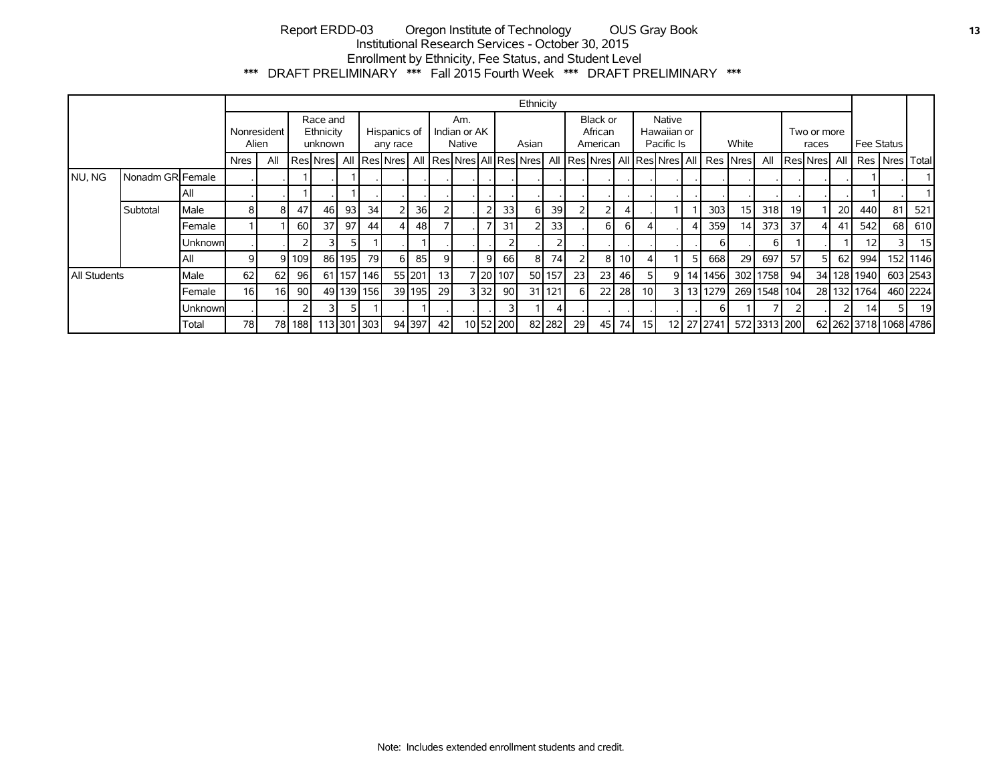# Report ERDD-03 Oregon Institute of Technology OUS Gray Book **13** Institutional Research Services - October 30, 2015 Enrollment by Ethnicity, Fee Status, and Student Level \*\*\* DRAFT PRELIMINARY \*\*\* Fall 2015 Fourth Week \*\*\* DRAFT PRELIMINARY \*\*\*

|                     |                  |                                                          |             |      |                          |                                                               |                               |             |       |                 |                                 |  |                                     |           | Ethnicity |        |           |                      |                 |                 |    |            |            |                                        |              |                 |              |      |                 |    |                       |
|---------------------|------------------|----------------------------------------------------------|-------------|------|--------------------------|---------------------------------------------------------------|-------------------------------|-------------|-------|-----------------|---------------------------------|--|-------------------------------------|-----------|-----------|--------|-----------|----------------------|-----------------|-----------------|----|------------|------------|----------------------------------------|--------------|-----------------|--------------|------|-----------------|----|-----------------------|
|                     |                  | Race and<br>Ethnicity<br>Nonresident<br>Alien<br>unknown |             |      | Hispanics of<br>any race |                                                               | Am.<br>Indian or AK<br>Native |             | Asian |                 | Black or<br>African<br>American |  | Native<br>Hawaiian or<br>Pacific Is |           | White     |        |           | Two or more<br>races |                 |                 |    | Fee Status |            |                                        |              |                 |              |      |                 |    |                       |
|                     |                  |                                                          | <b>Nres</b> | All  |                          | Res Nres   All   Res Nres   All   Res Nres   All   Res   Nres |                               |             |       |                 |                                 |  |                                     |           |           |        |           |                      |                 |                 |    |            |            | All Res Nres All Res Nres All Res Nres | All          |                 | ResiNres All |      |                 |    | Res   Nres   Total    |
| NU, NG              | Nonadm GR Female |                                                          |             |      |                          |                                                               |                               |             |       |                 |                                 |  |                                     |           |           |        |           |                      |                 |                 |    |            |            |                                        |              |                 |              |      |                 |    |                       |
|                     |                  | l All                                                    |             |      |                          |                                                               |                               |             |       |                 |                                 |  |                                     |           |           |        |           |                      |                 |                 |    |            |            |                                        |              |                 |              |      |                 |    |                       |
|                     | Subtotal         | Male                                                     | 8           | 8    | 47                       | 46                                                            | 93                            | 34          |       | 36 <sup>1</sup> |                                 |  | $\overline{2}$                      | 33        | 6         | 39     |           | 2                    |                 |                 |    |            | 303        | 15                                     | 318          | 19 <sup>1</sup> |              | 20 l | 440             | 81 | 521                   |
|                     |                  | Female                                                   |             |      | 60                       | 37                                                            | 97                            | 44          |       | 48              |                                 |  |                                     | 31        |           | 33     |           | 6 I                  | 6               |                 |    | 4 I        | 359        | 14                                     | 373          | 37              | 41           | -41  | 542             | 68 | 610                   |
|                     |                  | Unknownl                                                 |             |      |                          |                                                               | 5                             |             |       |                 |                                 |  |                                     |           |           | 2      |           |                      |                 |                 |    |            | 6          |                                        | 6            |                 |              |      | 12              | २। | 15                    |
|                     |                  | l All                                                    | 9           | 91   | 109                      |                                                               | 86 195                        | 79 l        |       | 85              | 9                               |  | $\overline{9}$                      | 66        | 8         | 74     |           | 81                   | 10 <sup>1</sup> |                 |    | 51         | 668        | 29                                     | 697          | 57              | 51           | 62   | 994             |    | 152 1146              |
| <b>All Students</b> |                  | Male                                                     | 62          | 62   | 96                       |                                                               |                               | 61 157 146  |       | 55 201          | 13                              |  |                                     | 7 20 107  |           | 50 157 | 23        | 23                   | 46              |                 | 9١ |            | 14 1456    | 302                                    | 1758         | 94              |              |      | 34 128 1940     |    | 603 2543              |
|                     |                  | Female                                                   | 16          | 16   | 90 <sub>1</sub>          |                                                               |                               | 49 139 156  |       | 39 195          | 29                              |  | 3 3 2 1                             | 90        |           | 31 121 | 6 I       | 22 <sub>1</sub>      | <b>28</b>       | 10 <sup>1</sup> | 31 |            | 13 1279    |                                        | 269 1548 104 |                 |              |      | 28 132 1764     |    | 460 2224              |
|                     |                  | Unknownl                                                 |             |      | 2                        |                                                               |                               |             |       |                 |                                 |  |                                     |           |           | 4      |           |                      |                 |                 |    |            | 6 I        |                                        |              |                 |              |      | 14 <sup>1</sup> |    | 19                    |
|                     |                  | Total                                                    | 78          | 78 I | 188 l                    |                                                               |                               | 113 301 303 |       | 94 397          | 42                              |  |                                     | 10 52 200 |           | 82 282 | <b>29</b> | 45                   | 74              | 15 <sup>1</sup> |    |            | 12 27 2741 |                                        | 572 3313 200 |                 |              |      |                 |    | 62 262 3718 1068 4786 |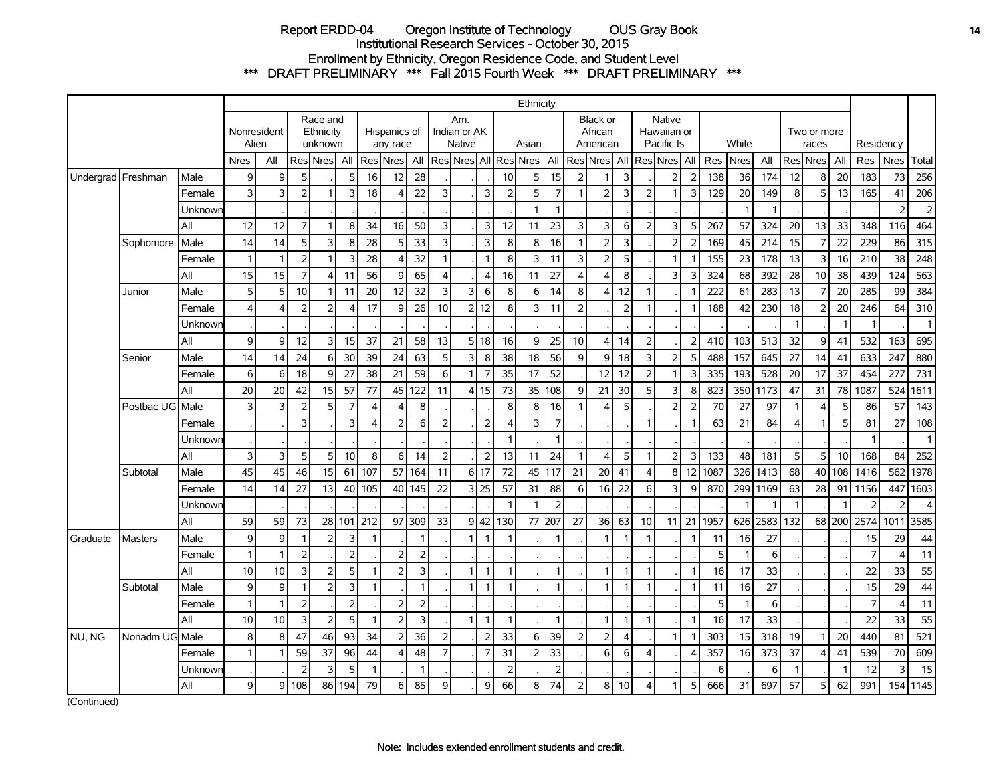# Report ERDD-04 Oregon Institute of Technology OUS Gray Book **14** Institutional Research Services - October 30, 2015 Enrollment by Ethnicity, Oregon Residence Code, and Student Level \*\*\* DRAFT PRELIMINARY \*\*\* Fall 2015 Fourth Week \*\*\* DRAFT PRELIMINARY \*\*\*

|                    |                |         |                  |                       |                |                                  |                |                          |                          |                               |                |                |                |                | Ethnicity                 |                |                                 |                               |                         |                                     |                |    |       |                |          |                      |                |        |                |                     |                  |
|--------------------|----------------|---------|------------------|-----------------------|----------------|----------------------------------|----------------|--------------------------|--------------------------|-------------------------------|----------------|----------------|----------------|----------------|---------------------------|----------------|---------------------------------|-------------------------------|-------------------------|-------------------------------------|----------------|----|-------|----------------|----------|----------------------|----------------|--------|----------------|---------------------|------------------|
|                    |                |         | Alien            | Nonresident           |                | Race and<br>Ethnicity<br>unknown |                | Hispanics of<br>any race |                          | Am.<br>Indian or AK<br>Native |                |                |                | Asian          |                           |                | Black or<br>African<br>American |                               |                         | Native<br>Hawaiian or<br>Pacific Is |                |    | White |                |          | Two or more<br>races |                |        | Residency      |                     |                  |
|                    |                |         | <b>Nres</b>      | All                   |                | Res Nres All                     |                |                          | Res Nres                 | All                           |                |                |                |                | Res Nres All Res Nres All |                |                                 | Res Nres   All Res Nres   All |                         |                                     |                |    | Res   | Nres           | All      |                      | Res Nres       | All    | Res            | <b>Nres</b>         | Total            |
| Undergrad Freshman |                | Male    | 9                | 9                     | 5              |                                  | 5              | 16                       | 12                       | 28                            |                |                |                | 10             | 5 <sub>l</sub>            | 15             | 2                               |                               | 3                       |                                     | $\overline{2}$ |    | 138   | 36             | 174      | 12                   | 8              | 20     | 183            | 73                  | 256              |
|                    |                | Female  | $\overline{3}$   | 3                     | $\overline{2}$ |                                  | 3              | 18                       | Δ                        | 22                            | 3              |                | $\overline{3}$ | $\overline{2}$ | 5                         | $\overline{7}$ | $\mathbf{1}$                    | $\overline{2}$                | 3                       | $\overline{2}$                      |                | 3  | 129   | 20             | 149      | 8                    | 5              | 13     | 165            | 41                  | 206              |
|                    |                | Unknowr |                  |                       |                |                                  |                |                          |                          |                               |                |                |                |                | 1                         | 1              |                                 |                               |                         |                                     |                |    |       | $\mathbf{1}$   |          |                      |                |        |                | $\overline{2}$      | $\overline{c}$   |
|                    |                | All     | 12               | 12                    | $\overline{7}$ |                                  | 8              | 34                       | 16                       | 50                            | 3              |                | $\overline{3}$ | 12             | 11                        | 23             | 3                               | 3                             | 6                       | $\overline{2}$                      | 3              | 5  | 267   | 57             | 324      | 20                   | 13             | 33     | 348            | 116                 | 464              |
|                    | Sophomore      | Male    | 14               | 14                    | 5              | 3                                | 8              | 28                       | 5                        | 33                            | 3              |                | $\overline{3}$ | 8              | 8 <sup>1</sup>            | 16             | $\mathbf{1}$                    | $\overline{2}$                | $\mathsf{3}$            |                                     | $\overline{2}$ |    | 169   | 45             | 214      | 15                   | $\overline{7}$ | 22     | 229            | 86                  | $\overline{315}$ |
|                    |                | Female  |                  | $\mathbf{1}$          | $\overline{2}$ | h                                | 3              | 28                       | $\Lambda$                | 32                            | $\mathbf{1}$   |                | $\mathbf{1}$   | 8              | $\overline{3}$            | 11             | 3                               | $\overline{2}$                | 5                       |                                     | 1              |    | 155   | 23             | 178      | 13                   | 3              | 16     | 210            | 38                  | 248              |
|                    |                | All     | 15               | 15                    | $\overline{7}$ | $\Delta$                         | 11             | 56                       | 9                        | 65                            | $\overline{4}$ |                | $\vert$        | 16             | 11                        | 27             | $\overline{4}$                  | $\overline{4}$                | $\bf 8$                 |                                     | 3              | 3  | 324   | 68             | 392      | 28                   | 10             | 38     | 439            | 124                 | 563              |
|                    | Junior         | Male    | 5 <sup>1</sup>   | 5                     | 10             | 1                                | 11             | 20                       | 12                       | 32                            | 3              | $\overline{3}$ | $6 \mid$       | 8              | $6 \mid$                  | 14             | 8                               | 4                             | 12                      | 1                                   |                |    | 222   | 61             | 283      | 13                   | $\overline{7}$ | 20     | 285            | 99                  | 384              |
|                    |                | Female  |                  | $\boldsymbol{\Delta}$ | $\overline{2}$ | $\overline{2}$                   |                | 17                       | 9                        | 26                            | 10             |                | 2 12           | 8              | 3                         | 11             | $\overline{2}$                  |                               | $\overline{2}$          | 1                                   |                |    | 188   | 42             | 230      | 18                   | 2              | 20     | 246            | 64                  | 310              |
|                    |                | Unknown |                  |                       |                |                                  |                |                          |                          |                               |                |                |                |                |                           |                |                                 |                               |                         |                                     |                |    |       |                |          | $\overline{1}$       |                |        |                |                     | $\mathbf{1}$     |
|                    |                | All     | $\overline{9}$   | 9                     | 12             | 3                                | 15             | 37                       | 21                       | 58                            | 13             |                | 5 18           | 16             | $\overline{9}$            | 25             | 10                              | $\vert$                       | 14                      |                                     |                |    | 410   | 103            | 513      | 32                   | $\overline{9}$ | 41     | 532            | 163                 | 695              |
|                    | Senior         | Male    | 14               | 14                    | 24             | 6                                | 30             | 39                       | 24                       | 63                            | 5              | $\overline{3}$ | 8 <sup>1</sup> | 38             | 18                        | 56             | 9                               | $\overline{9}$                | 18                      | 3                                   | 2 <sup>1</sup> | 5  | 488   | 157            | 645      | 27                   | 14             | 41     | 633            | 247                 | 880              |
|                    |                | Female  | $6 \overline{6}$ | 6                     | 18             | 9                                | 27             | 38                       | 21                       | 59                            | 6              | 1              | $\overline{7}$ | 35             | 17                        | 52             |                                 | 12                            | 12                      | $\overline{2}$                      | 1              | 3  | 335   | 193            | 528      | 20                   | 17             | 37     | 454            | 277                 | 731              |
|                    |                | All     | 20               | 20                    | 42             | 15                               | 57             | 77                       | 45                       | 122                           | 11             |                | 4 15           | 73             | 35                        | 108            | 9                               | 21                            | 30                      | 5                                   | $\overline{3}$ | 8  | 823   | 350            | 1173     | 47                   | 31             | 78     | 1087           | 524                 | 1611             |
|                    | Postbac UG     | Male    | 3                | 3                     | $\overline{2}$ | 5                                | 7              | $\overline{4}$           |                          | 8                             |                |                |                | 8              | 8                         | 16             | 1                               | 4                             | 5                       |                                     | $\overline{2}$ | 2  | 70    | 27             | 97       | $\mathbf{1}$         | 4              | 5      | 86             | 57                  | 143              |
|                    |                | Female  |                  |                       | 3              |                                  | 3              | $\overline{4}$           | $\overline{2}$           | 6                             | $\overline{2}$ |                | 2 <sup>1</sup> | $\overline{4}$ | 3                         | $\overline{7}$ |                                 |                               |                         |                                     |                |    | 63    | 21             | 84       | $\overline{4}$       | $\mathbf{1}$   | 5      | 81             | 27                  | 108              |
|                    |                | Unknowr |                  |                       |                |                                  |                |                          |                          |                               |                |                |                |                |                           |                |                                 |                               |                         |                                     |                |    |       |                |          |                      |                |        |                |                     | $\mathbf{1}$     |
|                    |                | All     | 3                | 3                     | 5              | -5                               | 10             | 8                        | 6                        | 14                            | $\overline{2}$ |                | 2              | 13             | 11                        | 24             | $\mathbf{1}$                    | 4                             | 5                       | 1                                   | 2              | 3  | 133   | 48             | 181      | 5                    | 5              | 10     | 168            | 84                  | 252              |
|                    | Subtotal       | Male    | 45               | 45                    | 46             | 15                               | 61             | 107                      | 57                       | 164                           | 11             |                | 6117           | 72             |                           | 45 117         | 21                              | 20 <sup>1</sup>               | 41                      | 4                                   | 8 <sup>1</sup> | 12 | 1087  | 326 l          | 1413     | 68                   | 40             | 108    | 1416           | 562                 | 1978             |
|                    |                | Female  | 14               | 14                    | 27             | 13                               | 40             | 105                      |                          | 40 145                        | 22             |                | 3 25           | 57             | 31                        | 88             | 6                               | 16                            | 22                      | 6                                   | 3              | 9  | 870   |                | 299 1169 | 63                   | 28             | 91     | 1156           | 447                 | 1603             |
|                    |                | Unknowr |                  |                       |                |                                  |                |                          |                          |                               |                |                |                |                |                           | $\overline{2}$ |                                 |                               |                         |                                     |                |    |       | -1             |          | $\mathbf{1}$         |                | f.     | ς              | $\overline{2}$      | $\overline{4}$   |
|                    |                | All     | 59               | 59                    | 73             | 28                               | 101            | 212                      | 97                       | 309                           | 33             | 91             | 42             | 130            | 77                        | 207            | 27                              | 36                            | 63                      | 10                                  | 11             | 21 | 1957  | 626            | 2583     | 132                  |                | 68 200 | 2574           | 1011                | 3585             |
| Graduate           | <b>Masters</b> | Male    | 9                | 9                     | $\overline{1}$ | $\overline{2}$                   | 3              | $\mathbf{1}$             |                          |                               |                | 1 <sup>1</sup> | $\mathbf{1}$   | -1             |                           | 1              |                                 |                               | 1                       | 1                                   |                |    | 11    | 16             | 27       |                      |                |        | 15             | 29                  | 44               |
|                    |                | Female  |                  | $\mathbf{1}$          | $\overline{2}$ |                                  | $\overline{2}$ |                          |                          | $\overline{2}$                |                |                |                |                |                           |                |                                 |                               |                         |                                     |                |    | 5     | $\overline{1}$ | 6        |                      |                |        | $\overline{7}$ | 4                   | 11               |
|                    |                | All     | 10               | 10                    | $\mathbf{3}$   | $\overline{2}$                   | 5              | $\mathbf{1}$             | $\overline{\phantom{0}}$ | $\overline{3}$                |                | 1              | $\overline{1}$ | $\mathbf{1}$   |                           | 1              |                                 |                               | 1                       | $\mathbf{1}$                        |                |    | 16    | 17             | 33       |                      |                |        | 22             | 33                  | 55               |
|                    | Subtotal       | Male    | 9                | 9                     | $\mathbf{1}$   | $\overline{2}$                   | 3              | $\mathbf{1}$             |                          |                               |                | 11             | $\mathbf{1}$   | $\mathbf{1}$   |                           | 1              |                                 | 1                             | $\mathbf{1}$            | 1                                   |                |    | 11    | 16             | 27       |                      |                |        | 15             | 29                  | 44               |
|                    |                | Female  |                  | $\mathbf{1}$          | $\overline{2}$ |                                  | $\overline{2}$ |                          | フ                        | $\overline{2}$                |                |                |                |                |                           |                |                                 |                               |                         |                                     |                |    | 5     | $\mathbf{1}$   | 6        |                      |                |        | $\overline{7}$ | $\overline{\Delta}$ | 11               |
|                    |                | All     | 10               | 10                    | $\overline{3}$ | $\overline{2}$                   | 5              | $\overline{1}$           | $\overline{z}$           | $\overline{3}$                |                | 1              | $\mathbf{1}$   | $\mathbf{1}$   |                           | 1              |                                 | $\mathbf{1}$                  | $\mathbf{1}$            | $\mathbf{1}$                        |                |    | 16    | 17             | 33       |                      |                |        | 22             | 33                  | 55               |
| NU, NG             | Nonadm UG Male |         | 8 <sup>1</sup>   | 8                     | 47             | 46                               | 93             | 34                       | $\overline{\phantom{0}}$ | 36                            | $\overline{2}$ |                | 2              | 33             | $6 \mid$                  | 39             | $\overline{2}$                  | $\overline{2}$                | $\overline{\mathbf{4}}$ |                                     |                |    | 303   | 15             | 318      | 19                   | -1             | 20     | 440            | 81                  | 521              |
|                    |                | Female  |                  | $\mathbf{1}$          | 59             | 37                               | 96             | 44                       | $\Lambda$                | 48                            | $\overline{7}$ |                | $\overline{7}$ | 31             | $\overline{2}$            | 33             |                                 | 6                             | 6                       | $\Delta$                            |                |    | 357   | 16             | 373      | 37                   | 4              | 41     | 539            | 70                  | 609              |
|                    |                | Unknowr |                  |                       | $\overline{2}$ | 3                                | 5              | $\mathbf{1}$             |                          | $\mathbf{1}$                  |                |                |                | $\overline{2}$ |                           | $\overline{2}$ |                                 |                               |                         |                                     |                |    | 6     |                | 6        | $\overline{1}$       |                | f.     | 12             | 3                   | 15               |
|                    |                | All     | 9                | $\overline{9}$        | 108            | 86                               | 194            | 79                       | 6                        | 85                            | 9              |                | $\overline{9}$ | 66             | 8                         | 74             | 2                               | 8                             | 10                      | 4                                   |                | 5  | 666   | 31             | 697      | 57                   | 5              | 62     | 991            | 154                 | 1145             |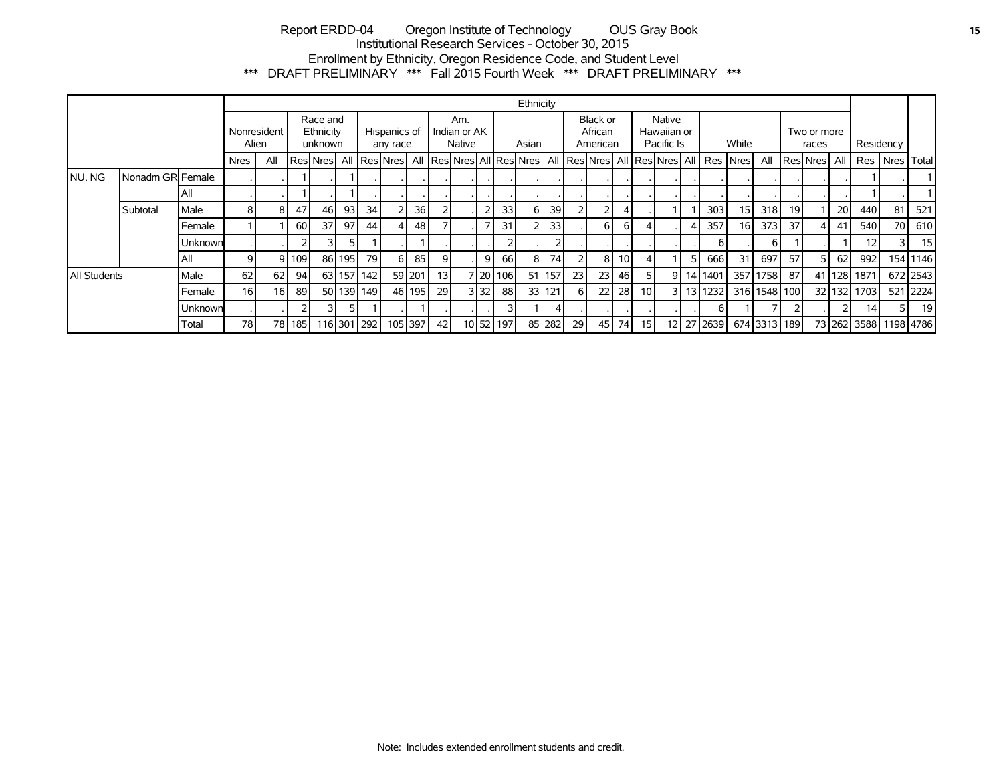# Report ERDD-04 Oregon Institute of Technology OUS Gray Book **15** Institutional Research Services - October 30, 2015 Enrollment by Ethnicity, Oregon Residence Code, and Student Level \*\*\* DRAFT PRELIMINARY \*\*\* Fall 2015 Fourth Week \*\*\* DRAFT PRELIMINARY \*\*\*

|              |                  |         |                 |                      |       |                                  |        |             |                          |         |    |                               |                |                 | Ethnicity                 |        |                                 |                 |                                     |                 |   |       |                                        |                 |                      |    |                     |           |             |                       |          |
|--------------|------------------|---------|-----------------|----------------------|-------|----------------------------------|--------|-------------|--------------------------|---------|----|-------------------------------|----------------|-----------------|---------------------------|--------|---------------------------------|-----------------|-------------------------------------|-----------------|---|-------|----------------------------------------|-----------------|----------------------|----|---------------------|-----------|-------------|-----------------------|----------|
|              |                  |         |                 | Nonresident<br>Alien |       | Race and<br>Ethnicity<br>unknown |        |             | Hispanics of<br>any race |         |    | Am.<br>Indian or AK<br>Native |                |                 | Asian                     |        | Black or<br>African<br>American |                 | Native<br>Hawaiian or<br>Pacific Is |                 |   | White |                                        |                 | Two or more<br>races |    |                     | Residency |             |                       |          |
|              |                  |         | <b>Nres</b>     | All                  |       | <b>Res</b> Nres                  |        |             | All   Res   Nres         |         |    |                               |                |                 | All Res Nres All Res Nres |        |                                 |                 |                                     |                 |   |       | All Res Nres All Res Nres All Res Nres |                 | All                  |    | <b>ResiNres</b> All |           |             | Res Nres              | Total    |
| NU, NG       | Nonadm GR Female |         |                 |                      |       |                                  |        |             |                          |         |    |                               |                |                 |                           |        |                                 |                 |                                     |                 |   |       |                                        |                 |                      |    |                     |           |             |                       |          |
|              |                  | All     |                 |                      |       |                                  |        |             |                          |         |    |                               |                |                 |                           |        |                                 |                 |                                     |                 |   |       |                                        |                 |                      |    |                     |           |             |                       |          |
|              | Subtotal         | Male    | 81              | 8                    | 47    | 46                               | 93     | 34          |                          | 36      |    |                               | $\overline{2}$ | 33 <sub>1</sub> | 6                         | 39     |                                 | 2               |                                     |                 |   |       | 303                                    | 15              | 318                  | 19 |                     | 20        | 440         | 81                    | 521      |
|              |                  | Female  |                 |                      | 60    | 37                               | 97     | 44          |                          | 48      |    |                               |                | 31              |                           | 33     |                                 | 6 <sup>1</sup>  | 6 I                                 | 4               |   |       | 357                                    | 16 <sub>l</sub> | 373                  | 37 |                     | 41        | 540         | 70                    | 610      |
|              |                  | Unknown |                 |                      |       |                                  |        |             |                          |         |    |                               |                |                 |                           |        |                                 |                 |                                     |                 |   |       | 6 I                                    |                 | 61                   |    |                     |           | 12          |                       | 15       |
|              |                  | All     |                 | 91                   | 109   |                                  | 86 195 | 79          |                          | 85      | 9  |                               | 91             | 66              | 8                         | 74     |                                 | 8 <sub>l</sub>  | 10 <sup>1</sup>                     | 4               |   | 51    | 666 l                                  | 31              | 697                  | 57 |                     | 62        | 992         |                       | 154 1146 |
| All Students |                  | Male    | 62              | 62                   | 94    | 63                               | 157    | 142         |                          | 59 201  | 13 |                               |                | 7   20   106    | 511                       | 157    | 23 <sub>l</sub>                 | 23              | 46                                  | 5               | 9 |       | 14 14 01                               |                 | 357 1758             | 87 |                     |           | 41 128 1871 |                       | 672 2543 |
|              |                  | Female  | 16 <sup>1</sup> | 16 <sup>1</sup>      | 89    |                                  |        | 50 139 149  |                          | 46 195  | 29 |                               | 3 3 2 1        | 88              | 33 <sup>1</sup>           | 121    | 61                              | 22              | 28                                  | 10 <sup>1</sup> |   |       | 13 1232                                |                 | 316 1548 100         |    |                     |           | 32 132 1703 |                       | 521 2224 |
|              |                  | Unknown |                 |                      |       |                                  |        |             |                          |         |    |                               |                | 3               |                           |        |                                 |                 |                                     |                 |   |       | 6 I                                    |                 |                      |    |                     |           | 141         |                       | 19       |
|              |                  | Total   | 78 l            | 78I                  | 185 l |                                  |        | 116 301 292 |                          | 105 397 | 42 |                               |                | 10 52 197       |                           | 85 282 | <b>29</b>                       | 45 <sub>l</sub> | 74 I                                | 15 <sup>1</sup> |   |       | 12 27 2639                             |                 | 674 3313 189         |    |                     |           |             | 73 262 3588 1198 4786 |          |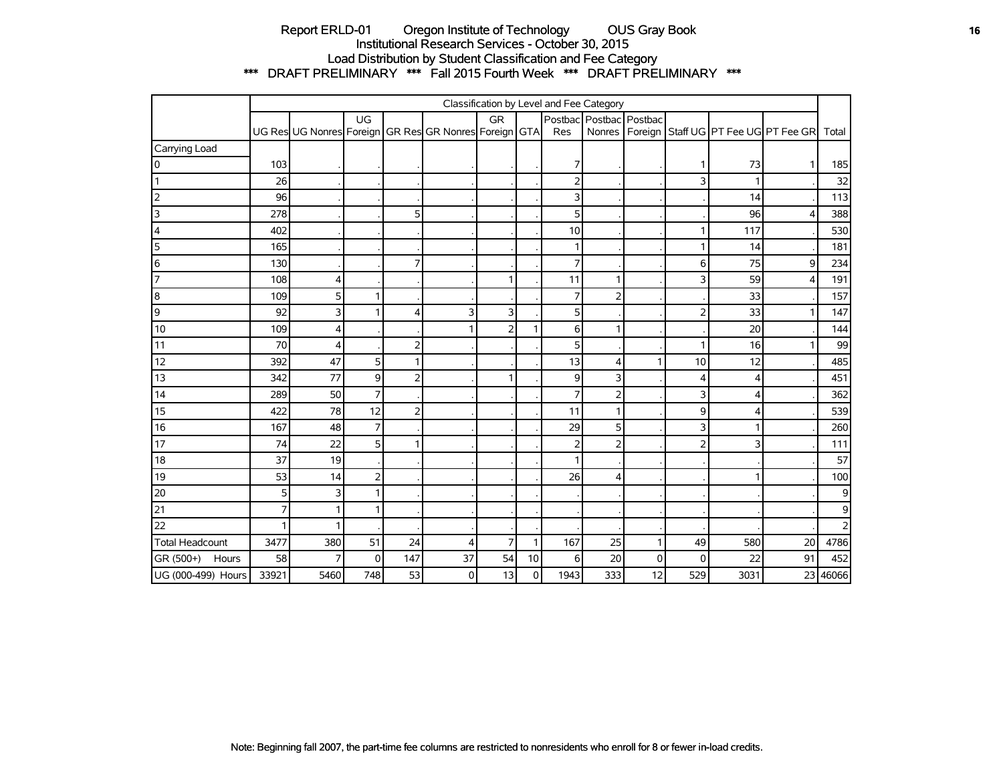# Report ERLD-01 Oregon Institute of Technology OUS Gray Book **16** OUS Gray Book Institutional Research Services - October 30, 2015 Load Distribution by Student Classification and Fee Category \*\*\* DRAFT PRELIMINARY \*\*\* Fall 2015 Fourth Week \*\*\* DRAFT PRELIMINARY \*\*\*

|                         | Classification by Level and Fee Category |                                                       |                |              |    |                |    |                |                         |    |             |      |                                                     |                |
|-------------------------|------------------------------------------|-------------------------------------------------------|----------------|--------------|----|----------------|----|----------------|-------------------------|----|-------------|------|-----------------------------------------------------|----------------|
|                         |                                          |                                                       | UG             |              |    | GR             |    |                | Postbac Postbac Postbac |    |             |      |                                                     |                |
|                         |                                          | UG Res UG Nonres Foreign GR Res GR Nonres Foreign GTA |                |              |    |                |    | Res            |                         |    |             |      | Nonres   Foreign   Staff UG   PT Fee UG   PT Fee GR | Total          |
| Carrying Load           |                                          |                                                       |                |              |    |                |    |                |                         |    |             |      |                                                     |                |
| I٥                      | 103                                      |                                                       |                |              |    |                |    | 7              |                         |    |             | 73   | 1                                                   | 185            |
|                         | 26                                       |                                                       |                |              |    |                |    | $\overline{2}$ |                         |    | 3           |      |                                                     | 32             |
| 2                       | 96                                       |                                                       |                |              |    |                |    | 3              |                         |    |             | 14   |                                                     | 113            |
| $\overline{\mathsf{3}}$ | 278                                      |                                                       |                | 5            |    |                |    | 5              |                         |    |             | 96   | 4                                                   | 388            |
| 4                       | 402                                      |                                                       |                |              |    |                |    | 10             |                         |    |             | 117  |                                                     | 530            |
| $\overline{5}$          | 165                                      |                                                       |                |              |    |                |    | 1              |                         |    |             | 14   |                                                     | 181            |
| 6                       | 130                                      |                                                       |                | 7            |    |                |    | 7              |                         |    | 6           | 75   | 9                                                   | 234            |
| 7                       | 108                                      | 4                                                     |                |              |    | 1              |    | 11             |                         |    | ٦           | 59   | $\overline{4}$                                      | 191            |
| 8                       | 109                                      | 5                                                     | 1              |              |    |                |    | $\overline{7}$ | 2                       |    |             | 33   |                                                     | 157            |
| 9                       | 92                                       | 3                                                     |                | 4            | 3  | 3              |    | 5              |                         |    | フ           | 33   | 1                                                   | 147            |
| 10                      | 109                                      | 4                                                     |                |              |    | 2              |    | 6              |                         |    |             | 20   |                                                     | 144            |
| 11                      | 70                                       | 4                                                     |                | 2            |    |                |    | 5              |                         |    |             | 16   | 1                                                   | 99             |
| 12                      | 392                                      | 47                                                    | 5 <sup>1</sup> | $\mathbf{1}$ |    |                |    | 13             | 4                       | 1  | 10          | 12   |                                                     | 485            |
| 13                      | 342                                      | 77                                                    | 9              | 2            |    | 1              |    | 9              | 3                       |    | 4           | 4    |                                                     | 451            |
| $\overline{14}$         | 289                                      | 50                                                    | $\overline{7}$ |              |    |                |    | $\overline{7}$ | 2                       |    | 3           | 4    |                                                     | 362            |
| 15                      | 422                                      | 78                                                    | 12             | 2            |    |                |    | 11             |                         |    | 9           | Δ    |                                                     | 539            |
| 16                      | 167                                      | 48                                                    | $\overline{7}$ |              |    |                |    | 29             | 5                       |    | 3           |      |                                                     | 260            |
| $\overline{17}$         | 74                                       | 22                                                    | 5 <sup>1</sup> | 1            |    |                |    | $\overline{2}$ | 2                       |    | 2           | 3    |                                                     | 111            |
| 18                      | 37                                       | 19                                                    |                |              |    |                |    | 1              |                         |    |             |      |                                                     | 57             |
| 19                      | 53                                       | 14                                                    | 2              |              |    |                |    | 26             | 4                       |    |             |      |                                                     | 100            |
| 20                      | 5                                        | 3                                                     | 1              |              |    |                |    |                |                         |    |             |      |                                                     | $\mathsf g$    |
| $\overline{21}$         | 7                                        |                                                       |                |              |    |                |    |                |                         |    |             |      |                                                     | 9              |
| 22                      |                                          |                                                       |                |              |    |                |    |                |                         |    |             |      |                                                     | $\overline{2}$ |
| Total Headcount         | 3477                                     | 380                                                   | 51             | 24           | 4  | $\overline{7}$ | 1  | 167            | 25                      | 1  | 49          | 580  | 20                                                  | 4786           |
| GR (500+)<br>Hours      | 58                                       | 7                                                     | $\mathbf 0$    | 147          | 37 | 54             | 10 | 6              | 20                      | 0  | $\mathbf 0$ | 22   | 91                                                  | 452            |
| UG (000-499) Hours      | 33921                                    | 5460                                                  | 748            | 53           | 0  | 13             | 0  | 1943           | 333                     | 12 | 529         | 3031 |                                                     | 23 46066       |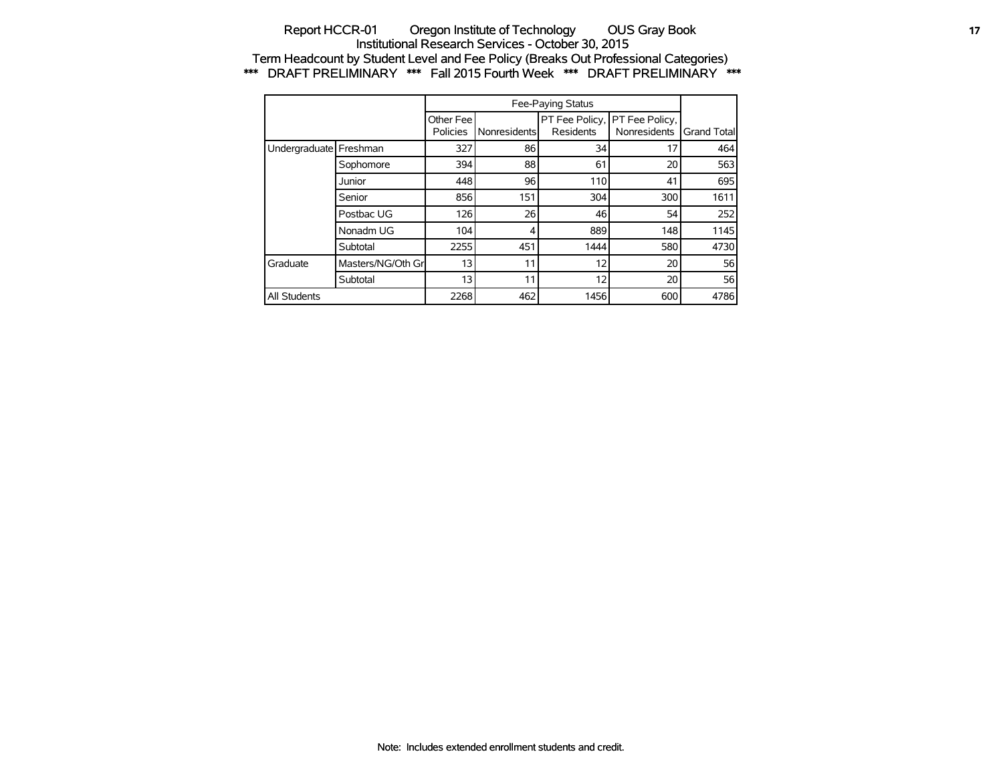### Report HCCR-01 Oregon Institute of Technology OUS Gray Book **17** 17 Institutional Research Services - October 30, 2015 Term Headcount by Student Level and Fee Policy (Breaks Out Professional Categories) \*\*\* DRAFT PRELIMINARY \*\*\* Fall 2015 Fourth Week \*\*\* DRAFT PRELIMINARY \*\*\*

|                          |                   | Other Fee<br>Policies | Nonresidents | <b>Residents</b> | PT Fee Policy, PT Fee Policy,<br>Nonresidents | <b>Grand Totall</b> |
|--------------------------|-------------------|-----------------------|--------------|------------------|-----------------------------------------------|---------------------|
| Undergraduate   Freshman |                   | 327                   | 86           | 34               | 17                                            | 464                 |
|                          | Sophomore         | 394                   | 88           | 61               | 20                                            | 563                 |
|                          | Junior            | 448                   | 96           | 110              | 41                                            | 695                 |
|                          | Senior            | 856                   | 151          | 304              | 300                                           | 1611                |
|                          | Postbac UG        | 126                   | 26           | 46               | 54                                            | 252                 |
|                          | Nonadm UG         | 104                   | 4            | 889              | 148                                           | 1145                |
|                          | Subtotal          | 2255                  | 451          | 1444             | 580                                           | 4730                |
| Graduate                 | Masters/NG/Oth Gr | 13                    | 11           | 12               | 20                                            | 56                  |
|                          | Subtotal          | 13                    | 11           | 12               | 20                                            | 56                  |
| <b>All Students</b>      |                   | 2268                  | 462          | 1456             | 600                                           | 4786                |